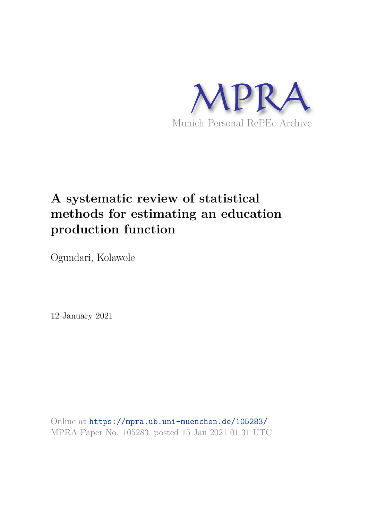

# **A systematic review of statistical methods for estimating an education production function**

Ogundari, Kolawole

12 January 2021

Online at https://mpra.ub.uni-muenchen.de/105283/ MPRA Paper No. 105283, posted 15 Jan 2021 01:31 UTC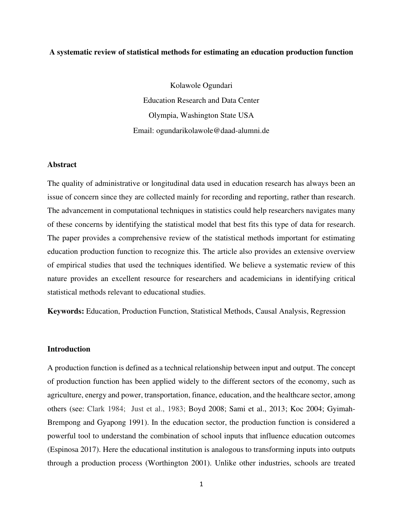## **A systematic review of statistical methods for estimating an education production function**

Kolawole Ogundari Education Research and Data Center Olympia, Washington State USA Email: ogundarikolawole@daad-alumni.de

#### **Abstract**

The quality of administrative or longitudinal data used in education research has always been an issue of concern since they are collected mainly for recording and reporting, rather than research. The advancement in computational techniques in statistics could help researchers navigates many of these concerns by identifying the statistical model that best fits this type of data for research. The paper provides a comprehensive review of the statistical methods important for estimating education production function to recognize this. The article also provides an extensive overview of empirical studies that used the techniques identified. We believe a systematic review of this nature provides an excellent resource for researchers and academicians in identifying critical statistical methods relevant to educational studies.

**Keywords:** Education, Production Function, Statistical Methods, Causal Analysis, Regression

## **Introduction**

A production function is defined as a technical relationship between input and output. The concept of production function has been applied widely to the different sectors of the economy, such as agriculture, energy and power, transportation, finance, education, and the healthcare sector, among others (see: Clark 1984; Just et al., 1983; Boyd 2008; Sami et al., 2013; Koc 2004; Gyimah-Brempong and Gyapong 1991). In the education sector, the production function is considered a powerful tool to understand the combination of school inputs that influence education outcomes (Espinosa 2017). Here the educational institution is analogous to transforming inputs into outputs through a production process (Worthington 2001). Unlike other industries, schools are treated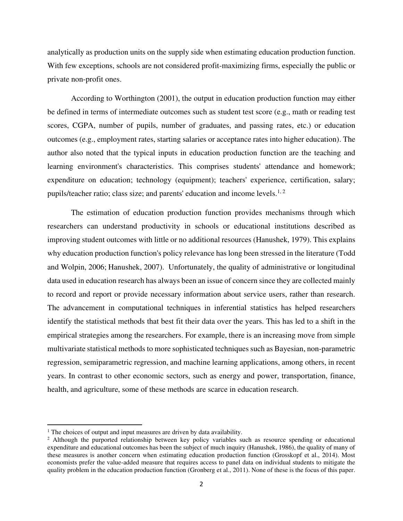analytically as production units on the supply side when estimating education production function. With few exceptions, schools are not considered profit-maximizing firms, especially the public or private non-profit ones.

According to Worthington (2001), the output in education production function may either be defined in terms of intermediate outcomes such as student test score (e.g., math or reading test scores, CGPA, number of pupils, number of graduates, and passing rates, etc.) or education outcomes (e.g., employment rates, starting salaries or acceptance rates into higher education). The author also noted that the typical inputs in education production function are the teaching and learning environment's characteristics. This comprises students' attendance and homework; expenditure on education; technology (equipment); teachers' experience, certification, salary; pupils/teacher ratio; class size; and parents' education and income levels.<sup>1, 2</sup>

The estimation of education production function provides mechanisms through which researchers can understand productivity in schools or educational institutions described as improving student outcomes with little or no additional resources (Hanushek, 1979). This explains why education production function's policy relevance has long been stressed in the literature (Todd and Wolpin, 2006; Hanushek, 2007). Unfortunately, the quality of administrative or longitudinal data used in education research has always been an issue of concern since they are collected mainly to record and report or provide necessary information about service users, rather than research. The advancement in computational techniques in inferential statistics has helped researchers identify the statistical methods that best fit their data over the years. This has led to a shift in the empirical strategies among the researchers. For example, there is an increasing move from simple multivariate statistical methods to more sophisticated techniques such as Bayesian, non-parametric regression, semiparametric regression, and machine learning applications, among others, in recent years. In contrast to other economic sectors, such as energy and power, transportation, finance, health, and agriculture, some of these methods are scarce in education research.

<sup>&</sup>lt;sup>1</sup> The choices of output and input measures are driven by data availability.

<sup>&</sup>lt;sup>2</sup> Although the purported relationship between key policy variables such as resource spending or educational expenditure and educational outcomes has been the subject of much inquiry (Hanushek, 1986), the quality of many of these measures is another concern when estimating education production function (Grosskopf et al., 2014). Most economists prefer the value-added measure that requires access to panel data on individual students to mitigate the quality problem in the education production function (Gronberg et al., 2011). None of these is the focus of this paper.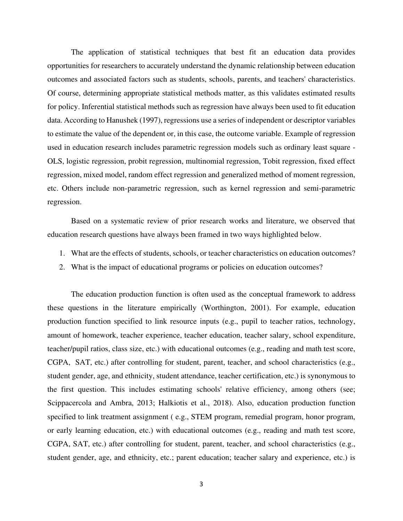The application of statistical techniques that best fit an education data provides opportunities for researchers to accurately understand the dynamic relationship between education outcomes and associated factors such as students, schools, parents, and teachers' characteristics. Of course, determining appropriate statistical methods matter, as this validates estimated results for policy. Inferential statistical methods such as regression have always been used to fit education data. According to Hanushek (1997), regressions use a series of independent or descriptor variables to estimate the value of the dependent or, in this case, the outcome variable. Example of regression used in education research includes parametric regression models such as ordinary least square - OLS, logistic regression, probit regression, multinomial regression, Tobit regression, fixed effect regression, mixed model, random effect regression and generalized method of moment regression, etc. Others include non-parametric regression, such as kernel regression and semi-parametric regression.

Based on a systematic review of prior research works and literature, we observed that education research questions have always been framed in two ways highlighted below.

- 1. What are the effects of students, schools, or teacher characteristics on education outcomes?
- 2. What is the impact of educational programs or policies on education outcomes?

The education production function is often used as the conceptual framework to address these questions in the literature empirically (Worthington, 2001). For example, education production function specified to link resource inputs (e.g., pupil to teacher ratios, technology, amount of homework, teacher experience, teacher education, teacher salary, school expenditure, teacher/pupil ratios, class size, etc.) with educational outcomes (e.g., reading and math test score, CGPA, SAT, etc.) after controlling for student, parent, teacher, and school characteristics (e.g., student gender, age, and ethnicity, student attendance, teacher certification, etc.) is synonymous to the first question. This includes estimating schools' relative efficiency, among others (see; Scippacercola and Ambra, 2013; Halkiotis et al., 2018). Also, education production function specified to link treatment assignment ( e.g., STEM program, remedial program, honor program, or early learning education, etc.) with educational outcomes (e.g., reading and math test score, CGPA, SAT, etc.) after controlling for student, parent, teacher, and school characteristics (e.g., student gender, age, and ethnicity, etc.; parent education; teacher salary and experience, etc.) is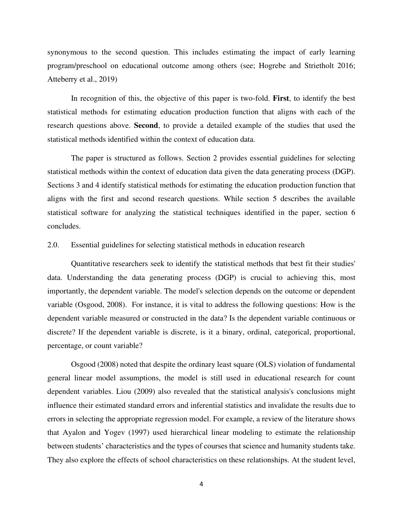synonymous to the second question. This includes estimating the impact of early learning program/preschool on educational outcome among others (see; Hogrebe and Strietholt 2016; Atteberry et al., 2019)

In recognition of this, the objective of this paper is two-fold. **First**, to identify the best statistical methods for estimating education production function that aligns with each of the research questions above. **Second**, to provide a detailed example of the studies that used the statistical methods identified within the context of education data.

The paper is structured as follows. Section 2 provides essential guidelines for selecting statistical methods within the context of education data given the data generating process (DGP). Sections 3 and 4 identify statistical methods for estimating the education production function that aligns with the first and second research questions. While section 5 describes the available statistical software for analyzing the statistical techniques identified in the paper, section 6 concludes.

#### 2.0. Essential guidelines for selecting statistical methods in education research

Quantitative researchers seek to identify the statistical methods that best fit their studies' data. Understanding the data generating process (DGP) is crucial to achieving this, most importantly, the dependent variable. The model's selection depends on the outcome or dependent variable (Osgood, 2008). For instance, it is vital to address the following questions: How is the dependent variable measured or constructed in the data? Is the dependent variable continuous or discrete? If the dependent variable is discrete, is it a binary, ordinal, categorical, proportional, percentage, or count variable?

Osgood (2008) noted that despite the ordinary least square (OLS) violation of fundamental general linear model assumptions, the model is still used in educational research for count dependent variables. Liou (2009) also revealed that the statistical analysis's conclusions might influence their estimated standard errors and inferential statistics and invalidate the results due to errors in selecting the appropriate regression model. For example, a review of the literature shows that Ayalon and Yogev (1997) used hierarchical linear modeling to estimate the relationship between students' characteristics and the types of courses that science and humanity students take. They also explore the effects of school characteristics on these relationships. At the student level,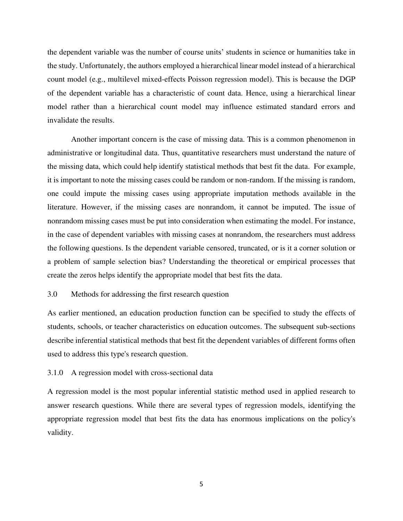the dependent variable was the number of course units' students in science or humanities take in the study. Unfortunately, the authors employed a hierarchical linear model instead of a hierarchical count model (e.g., multilevel mixed-effects Poisson regression model). This is because the DGP of the dependent variable has a characteristic of count data. Hence, using a hierarchical linear model rather than a hierarchical count model may influence estimated standard errors and invalidate the results.

Another important concern is the case of missing data. This is a common phenomenon in administrative or longitudinal data. Thus, quantitative researchers must understand the nature of the missing data, which could help identify statistical methods that best fit the data. For example, it is important to note the missing cases could be random or non-random. If the missing is random, one could impute the missing cases using appropriate imputation methods available in the literature. However, if the missing cases are nonrandom, it cannot be imputed. The issue of nonrandom missing cases must be put into consideration when estimating the model. For instance, in the case of dependent variables with missing cases at nonrandom, the researchers must address the following questions. Is the dependent variable censored, truncated, or is it a corner solution or a problem of sample selection bias? Understanding the theoretical or empirical processes that create the zeros helps identify the appropriate model that best fits the data.

## 3.0 Methods for addressing the first research question

As earlier mentioned, an education production function can be specified to study the effects of students, schools, or teacher characteristics on education outcomes. The subsequent sub-sections describe inferential statistical methods that best fit the dependent variables of different forms often used to address this type's research question.

## 3.1.0 A regression model with cross-sectional data

A regression model is the most popular inferential statistic method used in applied research to answer research questions. While there are several types of regression models, identifying the appropriate regression model that best fits the data has enormous implications on the policy's validity.

5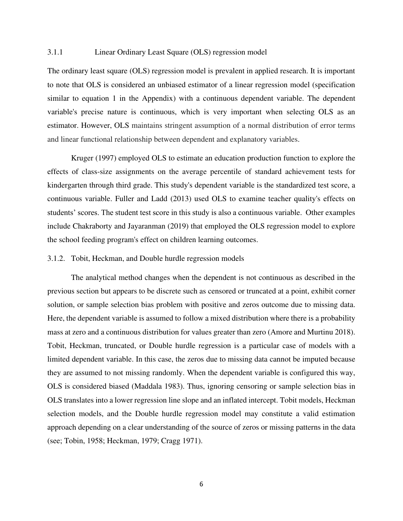## 3.1.1 Linear Ordinary Least Square (OLS) regression model

The ordinary least square (OLS) regression model is prevalent in applied research. It is important to note that OLS is considered an unbiased estimator of a linear regression model (specification similar to equation 1 in the Appendix) with a continuous dependent variable. The dependent variable's precise nature is continuous, which is very important when selecting OLS as an estimator. However, OLS maintains stringent assumption of a normal distribution of error terms and linear functional relationship between dependent and explanatory variables.

Kruger (1997) employed OLS to estimate an education production function to explore the effects of class-size assignments on the average percentile of standard achievement tests for kindergarten through third grade. This study's dependent variable is the standardized test score, a continuous variable. Fuller and Ladd (2013) used OLS to examine teacher quality's effects on students' scores. The student test score in this study is also a continuous variable. Other examples include Chakraborty and Jayaranman (2019) that employed the OLS regression model to explore the school feeding program's effect on children learning outcomes.

## 3.1.2. Tobit, Heckman, and Double hurdle regression models

The analytical method changes when the dependent is not continuous as described in the previous section but appears to be discrete such as censored or truncated at a point, exhibit corner solution, or sample selection bias problem with positive and zeros outcome due to missing data. Here, the dependent variable is assumed to follow a mixed distribution where there is a probability mass at zero and a continuous distribution for values greater than zero (Amore and Murtinu 2018). Tobit, Heckman, truncated, or Double hurdle regression is a particular case of models with a limited dependent variable. In this case, the zeros due to missing data cannot be imputed because they are assumed to not missing randomly. When the dependent variable is configured this way, OLS is considered biased (Maddala 1983). Thus, ignoring censoring or sample selection bias in OLS translates into a lower regression line slope and an inflated intercept. Tobit models, Heckman selection models, and the Double hurdle regression model may constitute a valid estimation approach depending on a clear understanding of the source of zeros or missing patterns in the data (see; Tobin, 1958; Heckman, 1979; Cragg 1971).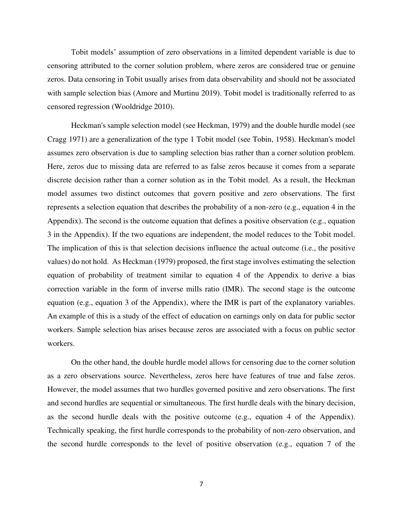Tobit models' assumption of zero observations in a limited dependent variable is due to censoring attributed to the corner solution problem, where zeros are considered true or genuine zeros. Data censoring in Tobit usually arises from data observability and should not be associated with sample selection bias (Amore and Murtinu 2019). Tobit model is traditionally referred to as censored regression (Wooldridge 2010).

Heckman's sample selection model (see Heckman, 1979) and the double hurdle model (see Cragg 1971) are a generalization of the type 1 Tobit model (see Tobin, 1958). Heckman's model assumes zero observation is due to sampling selection bias rather than a corner solution problem. Here, zeros due to missing data are referred to as false zeros because it comes from a separate discrete decision rather than a corner solution as in the Tobit model. As a result, the Heckman model assumes two distinct outcomes that govern positive and zero observations. The first represents a selection equation that describes the probability of a non-zero (e.g., equation 4 in the Appendix). The second is the outcome equation that defines a positive observation (e.g., equation 3 in the Appendix). If the two equations are independent, the model reduces to the Tobit model. The implication of this is that selection decisions influence the actual outcome (i.e., the positive values) do not hold. As Heckman (1979) proposed, the first stage involves estimating the selection equation of probability of treatment similar to equation 4 of the Appendix to derive a bias correction variable in the form of inverse mills ratio (IMR). The second stage is the outcome equation (e.g., equation 3 of the Appendix), where the IMR is part of the explanatory variables. An example of this is a study of the effect of education on earnings only on data for public sector workers. Sample selection bias arises because zeros are associated with a focus on public sector workers.

On the other hand, the double hurdle model allows for censoring due to the corner solution as a zero observations source. Nevertheless, zeros here have features of true and false zeros. However, the model assumes that two hurdles governed positive and zero observations. The first and second hurdles are sequential or simultaneous. The first hurdle deals with the binary decision, as the second hurdle deals with the positive outcome (e.g., equation 4 of the Appendix). Technically speaking, the first hurdle corresponds to the probability of non-zero observation, and the second hurdle corresponds to the level of positive observation (e.g., equation 7 of the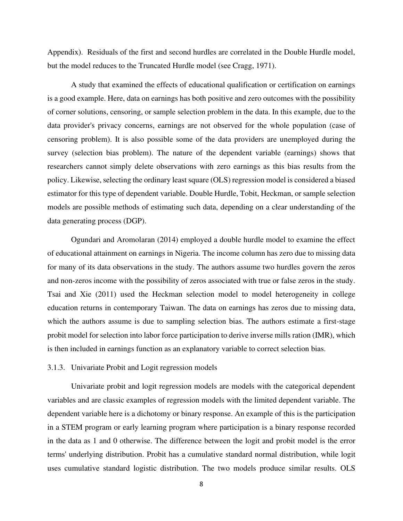Appendix). Residuals of the first and second hurdles are correlated in the Double Hurdle model, but the model reduces to the Truncated Hurdle model (see Cragg, 1971).

A study that examined the effects of educational qualification or certification on earnings is a good example. Here, data on earnings has both positive and zero outcomes with the possibility of corner solutions, censoring, or sample selection problem in the data. In this example, due to the data provider's privacy concerns, earnings are not observed for the whole population (case of censoring problem). It is also possible some of the data providers are unemployed during the survey (selection bias problem). The nature of the dependent variable (earnings) shows that researchers cannot simply delete observations with zero earnings as this bias results from the policy. Likewise, selecting the ordinary least square (OLS) regression model is considered a biased estimator for this type of dependent variable. Double Hurdle, Tobit, Heckman, or sample selection models are possible methods of estimating such data, depending on a clear understanding of the data generating process (DGP).

Ogundari and Aromolaran (2014) employed a double hurdle model to examine the effect of educational attainment on earnings in Nigeria. The income column has zero due to missing data for many of its data observations in the study. The authors assume two hurdles govern the zeros and non-zeros income with the possibility of zeros associated with true or false zeros in the study. Tsai and Xie (2011) used the Heckman selection model to model heterogeneity in college education returns in contemporary Taiwan. The data on earnings has zeros due to missing data, which the authors assume is due to sampling selection bias. The authors estimate a first-stage probit model for selection into labor force participation to derive inverse mills ration (IMR), which is then included in earnings function as an explanatory variable to correct selection bias.

## 3.1.3. Univariate Probit and Logit regression models

Univariate probit and logit regression models are models with the categorical dependent variables and are classic examples of regression models with the limited dependent variable. The dependent variable here is a dichotomy or binary response. An example of this is the participation in a STEM program or early learning program where participation is a binary response recorded in the data as 1 and 0 otherwise. The difference between the logit and probit model is the error terms' underlying distribution. Probit has a cumulative standard normal distribution, while logit uses cumulative standard logistic distribution. The two models produce similar results. OLS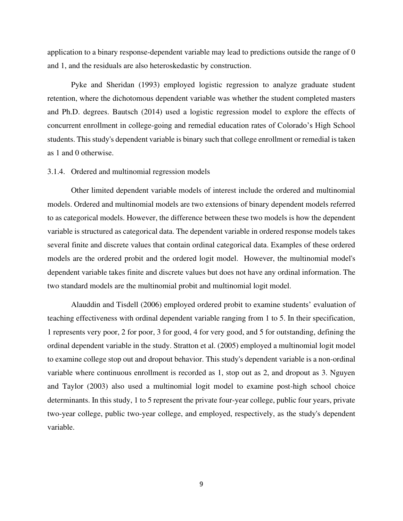application to a binary response-dependent variable may lead to predictions outside the range of 0 and 1, and the residuals are also heteroskedastic by construction.

Pyke and Sheridan (1993) employed logistic regression to analyze graduate student retention, where the dichotomous dependent variable was whether the student completed masters and Ph.D. degrees. Bautsch (2014) used a logistic regression model to explore the effects of concurrent enrollment in college-going and remedial education rates of Colorado's High School students. This study's dependent variable is binary such that college enrollment or remedial is taken as 1 and 0 otherwise.

#### 3.1.4. Ordered and multinomial regression models

Other limited dependent variable models of interest include the ordered and multinomial models. Ordered and multinomial models are two extensions of binary dependent models referred to as categorical models. However, the difference between these two models is how the dependent variable is structured as categorical data. The dependent variable in ordered response models takes several finite and discrete values that contain ordinal categorical data. Examples of these ordered models are the ordered probit and the ordered logit model. However, the multinomial model's dependent variable takes finite and discrete values but does not have any ordinal information. The two standard models are the multinomial probit and multinomial logit model.

Alauddin and Tisdell (2006) employed ordered probit to examine students' evaluation of teaching effectiveness with ordinal dependent variable ranging from 1 to 5. In their specification, 1 represents very poor, 2 for poor, 3 for good, 4 for very good, and 5 for outstanding, defining the ordinal dependent variable in the study. Stratton et al. (2005) employed a multinomial logit model to examine college stop out and dropout behavior. This study's dependent variable is a non-ordinal variable where continuous enrollment is recorded as 1, stop out as 2, and dropout as 3. Nguyen and Taylor (2003) also used a multinomial logit model to examine post-high school choice determinants. In this study, 1 to 5 represent the private four-year college, public four years, private two-year college, public two-year college, and employed, respectively, as the study's dependent variable.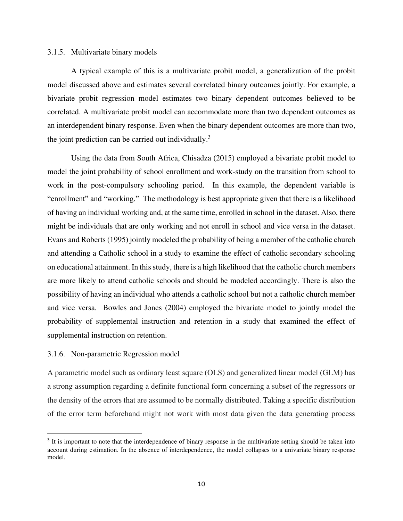#### 3.1.5. Multivariate binary models

A typical example of this is a multivariate probit model, a generalization of the probit model discussed above and estimates several correlated binary outcomes jointly. For example, a bivariate probit regression model estimates two binary dependent outcomes believed to be correlated. A multivariate probit model can accommodate more than two dependent outcomes as an interdependent binary response. Even when the binary dependent outcomes are more than two, the joint prediction can be carried out individually.<sup>3</sup>

 Using the data from South Africa, Chisadza (2015) employed a bivariate probit model to model the joint probability of school enrollment and work-study on the transition from school to work in the post-compulsory schooling period. In this example, the dependent variable is "enrollment" and "working." The methodology is best appropriate given that there is a likelihood of having an individual working and, at the same time, enrolled in school in the dataset. Also, there might be individuals that are only working and not enroll in school and vice versa in the dataset. Evans and Roberts (1995) jointly modeled the probability of being a member of the catholic church and attending a Catholic school in a study to examine the effect of catholic secondary schooling on educational attainment. In this study, there is a high likelihood that the catholic church members are more likely to attend catholic schools and should be modeled accordingly. There is also the possibility of having an individual who attends a catholic school but not a catholic church member and vice versa. Bowles and Jones (2004) employed the bivariate model to jointly model the probability of supplemental instruction and retention in a study that examined the effect of supplemental instruction on retention.

## 3.1.6. Non-parametric Regression model

A parametric model such as ordinary least square (OLS) and generalized linear model (GLM) has a strong assumption regarding a definite functional form concerning a subset of the regressors or the density of the errors that are assumed to be normally distributed. Taking a specific distribution of the error term beforehand might not work with most data given the data generating process

<sup>&</sup>lt;sup>3</sup> It is important to note that the interdependence of binary response in the multivariate setting should be taken into account during estimation. In the absence of interdependence, the model collapses to a univariate binary response model.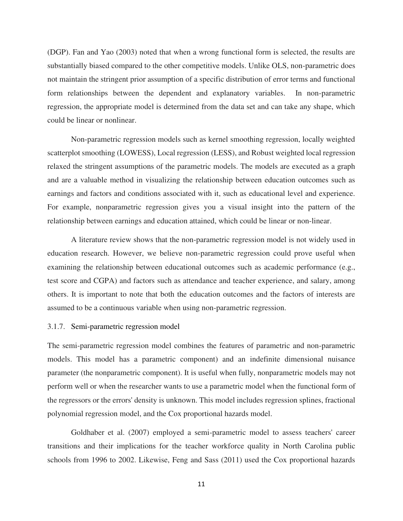(DGP). Fan and Yao (2003) noted that when a wrong functional form is selected, the results are substantially biased compared to the other competitive models. Unlike OLS, non-parametric does not maintain the stringent prior assumption of a specific distribution of error terms and functional form relationships between the dependent and explanatory variables. In non-parametric regression, the appropriate model is determined from the data set and can take any shape, which could be linear or nonlinear.

Non-parametric regression models such as kernel smoothing regression, locally weighted scatterplot smoothing (LOWESS), Local regression (LESS), and Robust weighted local regression relaxed the stringent assumptions of the parametric models. The models are executed as a graph and are a valuable method in visualizing the relationship between education outcomes such as earnings and factors and conditions associated with it, such as educational level and experience. For example, nonparametric regression gives you a visual insight into the pattern of the relationship between earnings and education attained, which could be linear or non-linear.

A literature review shows that the non-parametric regression model is not widely used in education research. However, we believe non-parametric regression could prove useful when examining the relationship between educational outcomes such as academic performance (e.g., test score and CGPA) and factors such as attendance and teacher experience, and salary, among others. It is important to note that both the education outcomes and the factors of interests are assumed to be a continuous variable when using non-parametric regression.

## 3.1.7. Semi-parametric regression model

The semi-parametric regression model combines the features of parametric and non-parametric models. This model has a parametric component) and an indefinite dimensional nuisance parameter (the nonparametric component). It is useful when fully, nonparametric models may not perform well or when the researcher wants to use a parametric model when the functional form of the regressors or the errors' density is unknown. This model includes regression splines, fractional polynomial regression model, and the Cox proportional hazards model.

Goldhaber et al. (2007) employed a semi-parametric model to assess teachers' career transitions and their implications for the teacher workforce quality in North Carolina public schools from 1996 to 2002. Likewise, Feng and Sass (2011) used the Cox proportional hazards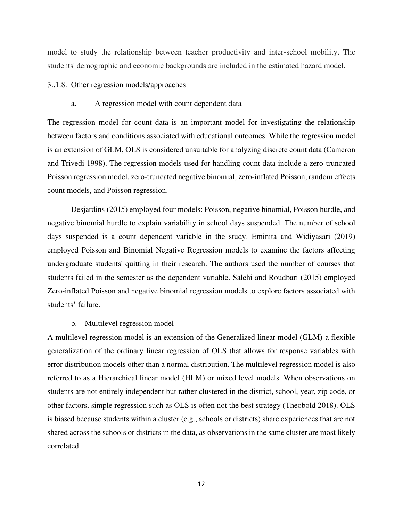model to study the relationship between teacher productivity and inter-school mobility. The students' demographic and economic backgrounds are included in the estimated hazard model.

## 3..1.8. Other regression models/approaches

#### a. A regression model with count dependent data

The regression model for count data is an important model for investigating the relationship between factors and conditions associated with educational outcomes. While the regression model is an extension of GLM, OLS is considered unsuitable for analyzing discrete count data (Cameron and Trivedi 1998). The regression models used for handling count data include a zero-truncated Poisson regression model, zero-truncated negative binomial, zero-inflated Poisson, random effects count models, and Poisson regression.

Desjardins (2015) employed four models: Poisson, negative binomial, Poisson hurdle, and negative binomial hurdle to explain variability in school days suspended. The number of school days suspended is a count dependent variable in the study. Eminita and Widiyasari (2019) employed Poisson and Binomial Negative Regression models to examine the factors affecting undergraduate students' quitting in their research. The authors used the number of courses that students failed in the semester as the dependent variable. Salehi and Roudbari (2015) employed Zero-inflated Poisson and negative binomial regression models to explore factors associated with students' failure.

#### b. Multilevel regression model

A multilevel regression model is an extension of the Generalized linear model (GLM)-a flexible generalization of the ordinary linear regression of OLS that allows for response variables with error distribution models other than a normal distribution. The multilevel regression model is also referred to as a Hierarchical linear model (HLM) or mixed level models. When observations on students are not entirely independent but rather clustered in the district, school, year, zip code, or other factors, simple regression such as OLS is often not the best strategy (Theobold 2018). OLS is biased because students within a cluster (e.g., schools or districts) share experiences that are not shared across the schools or districts in the data, as observations in the same cluster are most likely correlated.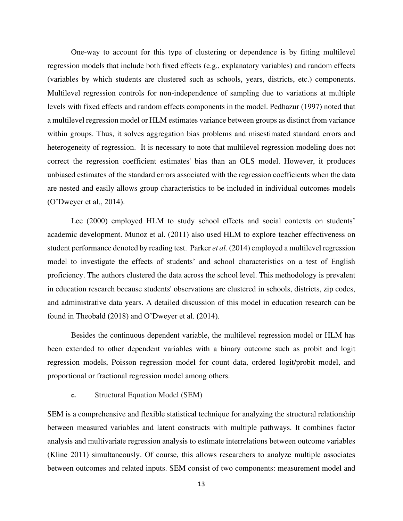One-way to account for this type of clustering or dependence is by fitting multilevel regression models that include both fixed effects (e.g., explanatory variables) and random effects (variables by which students are clustered such as schools, years, districts, etc.) components. Multilevel regression controls for non-independence of sampling due to variations at multiple levels with fixed effects and random effects components in the model. Pedhazur (1997) noted that a multilevel regression model or HLM estimates variance between groups as distinct from variance within groups. Thus, it solves aggregation bias problems and misestimated standard errors and heterogeneity of regression. It is necessary to note that multilevel regression modeling does not correct the regression coefficient estimates' bias than an OLS model. However, it produces unbiased estimates of the standard errors associated with the regression coefficients when the data are nested and easily allows group characteristics to be included in individual outcomes models (O'Dweyer et al., 2014).

Lee (2000) employed HLM to study school effects and social contexts on students' academic development. Munoz et al. (2011) also used HLM to explore teacher effectiveness on student performance denoted by reading test. Parker *et al.* (2014) employed a multilevel regression model to investigate the effects of students' and school characteristics on a test of English proficiency. The authors clustered the data across the school level. This methodology is prevalent in education research because students' observations are clustered in schools, districts, zip codes, and administrative data years. A detailed discussion of this model in education research can be found in Theobald (2018) and O'Dweyer et al. (2014).

Besides the continuous dependent variable, the multilevel regression model or HLM has been extended to other dependent variables with a binary outcome such as probit and logit regression models, Poisson regression model for count data, ordered logit/probit model, and proportional or fractional regression model among others.

## **c.** Structural Equation Model (SEM)

SEM is a comprehensive and flexible statistical technique for analyzing the structural relationship between measured variables and latent constructs with multiple pathways. It combines factor analysis and multivariate regression analysis to estimate interrelations between outcome variables (Kline 2011) simultaneously. Of course, this allows researchers to analyze multiple associates between outcomes and related inputs. SEM consist of two components: measurement model and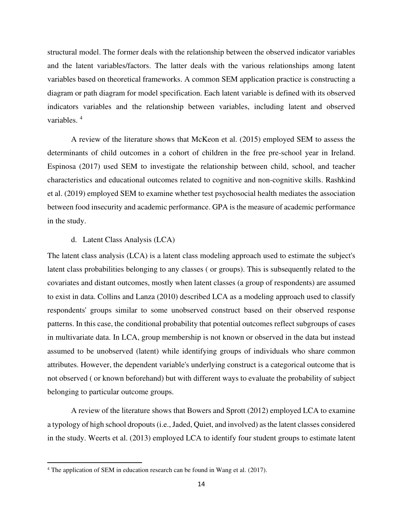structural model. The former deals with the relationship between the observed indicator variables and the latent variables/factors. The latter deals with the various relationships among latent variables based on theoretical frameworks. A common SEM application practice is constructing a diagram or path diagram for model specification. Each latent variable is defined with its observed indicators variables and the relationship between variables, including latent and observed variables. <sup>4</sup>

A review of the literature shows that McKeon et al. (2015) employed SEM to assess the determinants of child outcomes in a cohort of children in the free pre-school year in Ireland. Espinosa (2017) used SEM to investigate the relationship between child, school, and teacher characteristics and educational outcomes related to cognitive and non-cognitive skills. Rashkind et al. (2019) employed SEM to examine whether test psychosocial health mediates the association between food insecurity and academic performance. GPA is the measure of academic performance in the study.

#### d. Latent Class Analysis (LCA)

The latent class analysis (LCA) is a latent class modeling approach used to estimate the subject's latent class probabilities belonging to any classes ( or groups). This is subsequently related to the covariates and distant outcomes, mostly when latent classes (a group of respondents) are assumed to exist in data. Collins and Lanza (2010) described LCA as a modeling approach used to classify respondents' groups similar to some unobserved construct based on their observed response patterns. In this case, the conditional probability that potential outcomes reflect subgroups of cases in multivariate data. In LCA, group membership is not known or observed in the data but instead assumed to be unobserved (latent) while identifying groups of individuals who share common attributes. However, the dependent variable's underlying construct is a categorical outcome that is not observed ( or known beforehand) but with different ways to evaluate the probability of subject belonging to particular outcome groups.

A review of the literature shows that Bowers and Sprott (2012) employed LCA to examine a typology of high school dropouts (i.e., Jaded, Quiet, and involved) as the latent classes considered in the study. Weerts et al. (2013) employed LCA to identify four student groups to estimate latent

<sup>&</sup>lt;sup>4</sup> The application of SEM in education research can be found in Wang et al. (2017).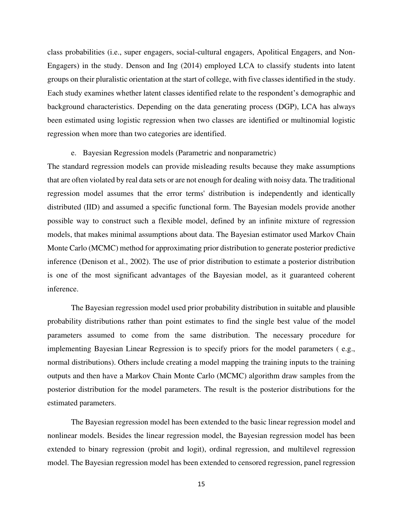class probabilities (i.e., super engagers, social-cultural engagers, Apolitical Engagers, and Non-Engagers) in the study. Denson and Ing (2014) employed LCA to classify students into latent groups on their pluralistic orientation at the start of college, with five classes identified in the study. Each study examines whether latent classes identified relate to the respondent's demographic and background characteristics. Depending on the data generating process (DGP), LCA has always been estimated using logistic regression when two classes are identified or multinomial logistic regression when more than two categories are identified.

#### e. Bayesian Regression models (Parametric and nonparametric)

The standard regression models can provide misleading results because they make assumptions that are often violated by real data sets or are not enough for dealing with noisy data. The traditional regression model assumes that the error terms' distribution is independently and identically distributed (IID) and assumed a specific functional form. The Bayesian models provide another possible way to construct such a flexible model, defined by an infinite mixture of regression models, that makes minimal assumptions about data. The Bayesian estimator used Markov Chain Monte Carlo (MCMC) method for approximating prior distribution to generate posterior predictive inference (Denison et al., 2002). The use of prior distribution to estimate a posterior distribution is one of the most significant advantages of the Bayesian model, as it guaranteed coherent inference.

The Bayesian regression model used prior probability distribution in suitable and plausible probability distributions rather than point estimates to find the single best value of the model parameters assumed to come from the same distribution. The necessary procedure for implementing Bayesian Linear Regression is to specify priors for the model parameters ( e.g., normal distributions). Others include creating a model mapping the training inputs to the training outputs and then have a Markov Chain Monte Carlo (MCMC) algorithm draw samples from the posterior distribution for the model parameters. The result is the posterior distributions for the estimated parameters.

The Bayesian regression model has been extended to the basic linear regression model and nonlinear models. Besides the linear regression model, the Bayesian regression model has been extended to binary regression (probit and logit), ordinal regression, and multilevel regression model. The Bayesian regression model has been extended to censored regression, panel regression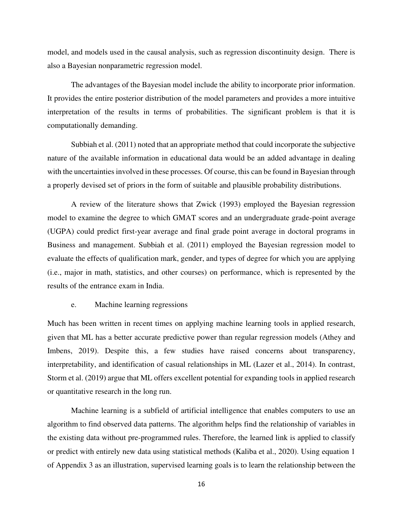model, and models used in the causal analysis, such as regression discontinuity design. There is also a Bayesian nonparametric regression model.

The advantages of the Bayesian model include the ability to incorporate prior information. It provides the entire posterior distribution of the model parameters and provides a more intuitive interpretation of the results in terms of probabilities. The significant problem is that it is computationally demanding.

Subbiah et al. (2011) noted that an appropriate method that could incorporate the subjective nature of the available information in educational data would be an added advantage in dealing with the uncertainties involved in these processes. Of course, this can be found in Bayesian through a properly devised set of priors in the form of suitable and plausible probability distributions.

A review of the literature shows that Zwick (1993) employed the Bayesian regression model to examine the degree to which GMAT scores and an undergraduate grade-point average (UGPA) could predict first-year average and final grade point average in doctoral programs in Business and management. Subbiah et al. (2011) employed the Bayesian regression model to evaluate the effects of qualification mark, gender, and types of degree for which you are applying (i.e., major in math, statistics, and other courses) on performance, which is represented by the results of the entrance exam in India.

#### e. Machine learning regressions

Much has been written in recent times on applying machine learning tools in applied research, given that ML has a better accurate predictive power than regular regression models (Athey and Imbens, 2019). Despite this, a few studies have raised concerns about transparency, interpretability, and identification of casual relationships in ML (Lazer et al., 2014). In contrast, Storm et al. (2019) argue that ML offers excellent potential for expanding tools in applied research or quantitative research in the long run.

Machine learning is a subfield of artificial intelligence that enables computers to use an algorithm to find observed data patterns. The algorithm helps find the relationship of variables in the existing data without pre-programmed rules. Therefore, the learned link is applied to classify or predict with entirely new data using statistical methods (Kaliba et al., 2020). Using equation 1 of Appendix 3 as an illustration, supervised learning goals is to learn the relationship between the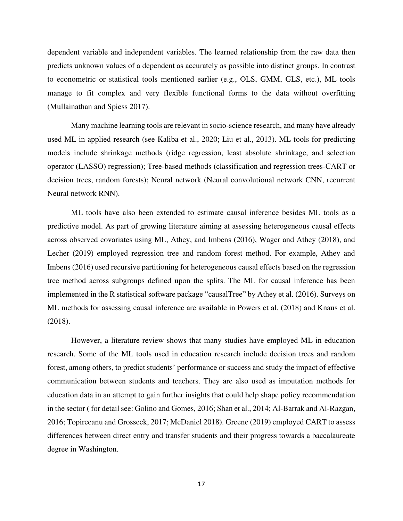dependent variable and independent variables. The learned relationship from the raw data then predicts unknown values of a dependent as accurately as possible into distinct groups. In contrast to econometric or statistical tools mentioned earlier (e.g., OLS, GMM, GLS, etc.), ML tools manage to fit complex and very flexible functional forms to the data without overfitting (Mullainathan and Spiess 2017).

Many machine learning tools are relevant in socio-science research, and many have already used ML in applied research (see Kaliba et al., 2020; Liu et al., 2013). ML tools for predicting models include shrinkage methods (ridge regression, least absolute shrinkage, and selection operator (LASSO) regression); Tree-based methods (classification and regression trees-CART or decision trees, random forests); Neural network (Neural convolutional network CNN, recurrent Neural network RNN).

ML tools have also been extended to estimate causal inference besides ML tools as a predictive model. As part of growing literature aiming at assessing heterogeneous causal effects across observed covariates using ML, Athey, and Imbens (2016), Wager and Athey (2018), and Lecher (2019) employed regression tree and random forest method. For example, Athey and Imbens (2016) used recursive partitioning for heterogeneous causal effects based on the regression tree method across subgroups defined upon the splits. The ML for causal inference has been implemented in the R statistical software package "causalTree" by Athey et al. (2016). Surveys on ML methods for assessing causal inference are available in Powers et al. (2018) and Knaus et al. (2018).

However, a literature review shows that many studies have employed ML in education research. Some of the ML tools used in education research include decision trees and random forest, among others, to predict students' performance or success and study the impact of effective communication between students and teachers. They are also used as imputation methods for education data in an attempt to gain further insights that could help shape policy recommendation in the sector ( for detail see: Golino and Gomes, 2016; Shan et al., 2014; Al-Barrak and Al-Razgan, 2016; Topirceanu and Grosseck, 2017; McDaniel 2018). Greene (2019) employed CART to assess differences between direct entry and transfer students and their progress towards a baccalaureate degree in Washington.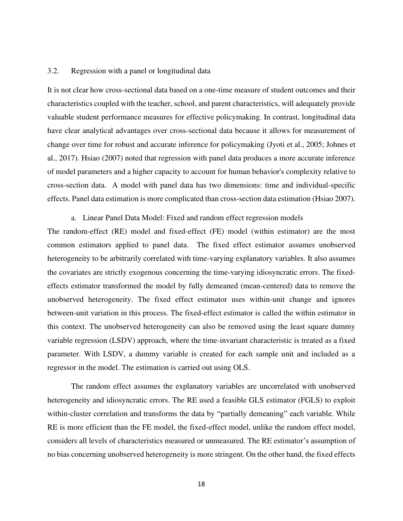#### 3.2. Regression with a panel or longitudinal data

It is not clear how cross-sectional data based on a one-time measure of student outcomes and their characteristics coupled with the teacher, school, and parent characteristics, will adequately provide valuable student performance measures for effective policymaking. In contrast, longitudinal data have clear analytical advantages over cross-sectional data because it allows for measurement of change over time for robust and accurate inference for policymaking (Jyoti et al., 2005; Johnes et al., 2017). Hsiao (2007) noted that regression with panel data produces a more accurate inference of model parameters and a higher capacity to account for human behavior's complexity relative to cross-section data. A model with panel data has two dimensions: time and individual-specific effects. Panel data estimation is more complicated than cross-section data estimation (Hsiao 2007).

a. Linear Panel Data Model: Fixed and random effect regression models

The random-effect (RE) model and fixed-effect (FE) model (within estimator) are the most common estimators applied to panel data. The fixed effect estimator assumes unobserved heterogeneity to be arbitrarily correlated with time-varying explanatory variables. It also assumes the covariates are strictly exogenous concerning the time-varying idiosyncratic errors. The fixedeffects estimator transformed the model by fully demeaned (mean-centered) data to remove the unobserved heterogeneity. The fixed effect estimator uses within-unit change and ignores between-unit variation in this process. The fixed-effect estimator is called the within estimator in this context. The unobserved heterogeneity can also be removed using the least square dummy variable regression (LSDV) approach, where the time-invariant characteristic is treated as a fixed parameter. With LSDV, a dummy variable is created for each sample unit and included as a regressor in the model. The estimation is carried out using OLS.

The random effect assumes the explanatory variables are uncorrelated with unobserved heterogeneity and idiosyncratic errors. The RE used a feasible GLS estimator (FGLS) to exploit within-cluster correlation and transforms the data by "partially demeaning" each variable. While RE is more efficient than the FE model, the fixed-effect model, unlike the random effect model, considers all levels of characteristics measured or unmeasured. The RE estimator's assumption of no bias concerning unobserved heterogeneity is more stringent. On the other hand, the fixed effects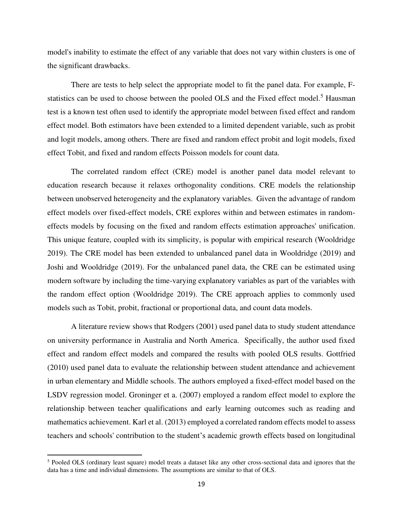model's inability to estimate the effect of any variable that does not vary within clusters is one of the significant drawbacks.

There are tests to help select the appropriate model to fit the panel data. For example, Fstatistics can be used to choose between the pooled OLS and the Fixed effect model.<sup>5</sup> Hausman test is a known test often used to identify the appropriate model between fixed effect and random effect model. Both estimators have been extended to a limited dependent variable, such as probit and logit models, among others. There are fixed and random effect probit and logit models, fixed effect Tobit, and fixed and random effects Poisson models for count data.

The correlated random effect (CRE) model is another panel data model relevant to education research because it relaxes orthogonality conditions. CRE models the relationship between unobserved heterogeneity and the explanatory variables. Given the advantage of random effect models over fixed-effect models, CRE explores within and between estimates in randomeffects models by focusing on the fixed and random effects estimation approaches' unification. This unique feature, coupled with its simplicity, is popular with empirical research (Wooldridge 2019). The CRE model has been extended to unbalanced panel data in Wooldridge (2019) and Joshi and Wooldridge (2019). For the unbalanced panel data, the CRE can be estimated using modern software by including the time-varying explanatory variables as part of the variables with the random effect option (Wooldridge 2019). The CRE approach applies to commonly used models such as Tobit, probit, fractional or proportional data, and count data models.

A literature review shows that Rodgers (2001) used panel data to study student attendance on university performance in Australia and North America. Specifically, the author used fixed effect and random effect models and compared the results with pooled OLS results. Gottfried (2010) used panel data to evaluate the relationship between student attendance and achievement in urban elementary and Middle schools. The authors employed a fixed-effect model based on the LSDV regression model. Groninger et a. (2007) employed a random effect model to explore the relationship between teacher qualifications and early learning outcomes such as reading and mathematics achievement. Karl et al. (2013) employed a correlated random effects model to assess teachers and schools' contribution to the student's academic growth effects based on longitudinal

<sup>&</sup>lt;sup>5</sup> Pooled OLS (ordinary least square) model treats a dataset like any other cross-sectional data and ignores that the data has a time and individual dimensions. The assumptions are similar to that of OLS.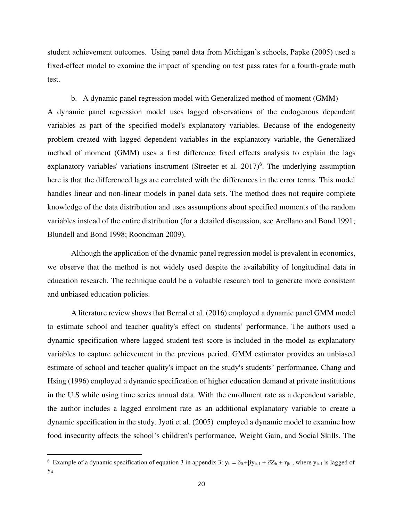student achievement outcomes. Using panel data from Michigan's schools, Papke (2005) used a fixed-effect model to examine the impact of spending on test pass rates for a fourth-grade math test.

b. A dynamic panel regression model with Generalized method of moment (GMM) A dynamic panel regression model uses lagged observations of the endogenous dependent variables as part of the specified model's explanatory variables. Because of the endogeneity problem created with lagged dependent variables in the explanatory variable, the Generalized method of moment (GMM) uses a first difference fixed effects analysis to explain the lags explanatory variables' variations instrument (Streeter et al.  $2017$ )<sup>6</sup>. The underlying assumption here is that the differenced lags are correlated with the differences in the error terms. This model handles linear and non-linear models in panel data sets. The method does not require complete knowledge of the data distribution and uses assumptions about specified moments of the random variables instead of the entire distribution (for a detailed discussion, see Arellano and Bond 1991; Blundell and Bond 1998; Roondman 2009).

Although the application of the dynamic panel regression model is prevalent in economics, we observe that the method is not widely used despite the availability of longitudinal data in education research. The technique could be a valuable research tool to generate more consistent and unbiased education policies.

A literature review shows that Bernal et al. (2016) employed a dynamic panel GMM model to estimate school and teacher quality's effect on students' performance. The authors used a dynamic specification where lagged student test score is included in the model as explanatory variables to capture achievement in the previous period. GMM estimator provides an unbiased estimate of school and teacher quality's impact on the study's students' performance. Chang and Hsing (1996) employed a dynamic specification of higher education demand at private institutions in the U.S while using time series annual data. With the enrollment rate as a dependent variable, the author includes a lagged enrolment rate as an additional explanatory variable to create a dynamic specification in the study. Jyoti et al. (2005) employed a dynamic model to examine how food insecurity affects the school's children's performance, Weight Gain, and Social Skills. The

<sup>&</sup>lt;sup>6</sup> Example of a dynamic specification of equation 3 in appendix 3:  $y_{it} = \delta_0 + \beta y_{it-1} + \partial Z_{it} + \eta_{it}$ , where  $y_{it-1}$  is lagged of yit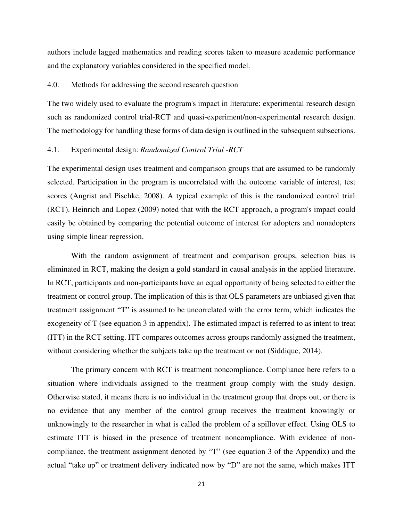authors include lagged mathematics and reading scores taken to measure academic performance and the explanatory variables considered in the specified model.

## 4.0. Methods for addressing the second research question

The two widely used to evaluate the program's impact in literature: experimental research design such as randomized control trial-RCT and quasi-experiment/non-experimental research design. The methodology for handling these forms of data design is outlined in the subsequent subsections.

## 4.1. Experimental design: *Randomized Control Trial -RCT*

The experimental design uses treatment and comparison groups that are assumed to be randomly selected. Participation in the program is uncorrelated with the outcome variable of interest, test scores (Angrist and Pischke, 2008). A typical example of this is the randomized control trial (RCT). Heinrich and Lopez (2009) noted that with the RCT approach, a program's impact could easily be obtained by comparing the potential outcome of interest for adopters and nonadopters using simple linear regression.

With the random assignment of treatment and comparison groups, selection bias is eliminated in RCT, making the design a gold standard in causal analysis in the applied literature. In RCT, participants and non-participants have an equal opportunity of being selected to either the treatment or control group. The implication of this is that OLS parameters are unbiased given that treatment assignment "T" is assumed to be uncorrelated with the error term, which indicates the exogeneity of T (see equation 3 in appendix). The estimated impact is referred to as intent to treat (ITT) in the RCT setting. ITT compares outcomes across groups randomly assigned the treatment, without considering whether the subjects take up the treatment or not (Siddique, 2014).

The primary concern with RCT is treatment noncompliance. Compliance here refers to a situation where individuals assigned to the treatment group comply with the study design. Otherwise stated, it means there is no individual in the treatment group that drops out, or there is no evidence that any member of the control group receives the treatment knowingly or unknowingly to the researcher in what is called the problem of a spillover effect. Using OLS to estimate ITT is biased in the presence of treatment noncompliance. With evidence of noncompliance, the treatment assignment denoted by "T" (see equation 3 of the Appendix) and the actual "take up" or treatment delivery indicated now by "D" are not the same, which makes ITT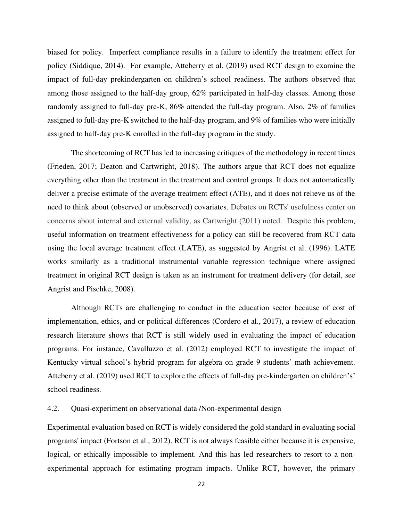biased for policy. Imperfect compliance results in a failure to identify the treatment effect for policy (Siddique, 2014). For example, Atteberry et al. (2019) used RCT design to examine the impact of full-day prekindergarten on children's school readiness. The authors observed that among those assigned to the half-day group, 62% participated in half-day classes. Among those randomly assigned to full-day pre-K, 86% attended the full-day program. Also, 2% of families assigned to full-day pre-K switched to the half-day program, and 9% of families who were initially assigned to half-day pre-K enrolled in the full-day program in the study.

The shortcoming of RCT has led to increasing critiques of the methodology in recent times (Frieden, 2017; Deaton and Cartwright, 2018). The authors argue that RCT does not equalize everything other than the treatment in the treatment and control groups. It does not automatically deliver a precise estimate of the average treatment effect (ATE), and it does not relieve us of the need to think about (observed or unobserved) covariates. Debates on RCTs' usefulness center on concerns about internal and external validity, as Cartwright (2011) noted. Despite this problem, useful information on treatment effectiveness for a policy can still be recovered from RCT data using the local average treatment effect (LATE), as suggested by Angrist et al. (1996). LATE works similarly as a traditional instrumental variable regression technique where assigned treatment in original RCT design is taken as an instrument for treatment delivery (for detail, see Angrist and Pischke, 2008).

Although RCTs are challenging to conduct in the education sector because of cost of implementation, ethics, and or political differences (Cordero et al., 2017), a review of education research literature shows that RCT is still widely used in evaluating the impact of education programs. For instance, Cavalluzzo et al. (2012) employed RCT to investigate the impact of Kentucky virtual school's hybrid program for algebra on grade 9 students' math achievement. Atteberry et al. (2019) used RCT to explore the effects of full-day pre-kindergarten on children's' school readiness.

## 4.2. Quasi-experiment on observational data /Non-experimental design

Experimental evaluation based on RCT is widely considered the gold standard in evaluating social programs' impact (Fortson et al., 2012). RCT is not always feasible either because it is expensive, logical, or ethically impossible to implement. And this has led researchers to resort to a nonexperimental approach for estimating program impacts. Unlike RCT, however, the primary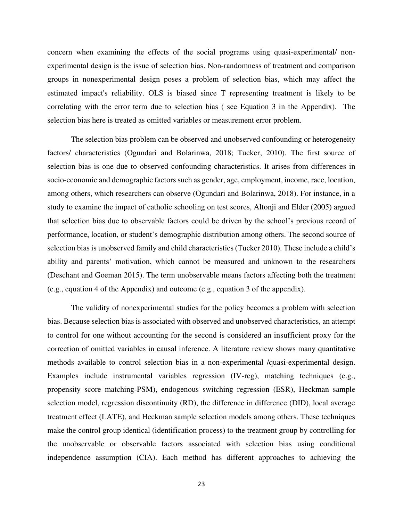concern when examining the effects of the social programs using quasi-experimental/ nonexperimental design is the issue of selection bias. Non-randomness of treatment and comparison groups in nonexperimental design poses a problem of selection bias, which may affect the estimated impact's reliability. OLS is biased since T representing treatment is likely to be correlating with the error term due to selection bias ( see Equation 3 in the Appendix). The selection bias here is treated as omitted variables or measurement error problem.

The selection bias problem can be observed and unobserved confounding or heterogeneity factors/ characteristics (Ogundari and Bolarinwa, 2018; Tucker, 2010). The first source of selection bias is one due to observed confounding characteristics. It arises from differences in socio-economic and demographic factors such as gender, age, employment, income, race, location, among others, which researchers can observe (Ogundari and Bolarinwa, 2018). For instance, in a study to examine the impact of catholic schooling on test scores, Altonji and Elder (2005) argued that selection bias due to observable factors could be driven by the school's previous record of performance, location, or student's demographic distribution among others. The second source of selection bias is unobserved family and child characteristics (Tucker 2010). These include a child's ability and parents' motivation, which cannot be measured and unknown to the researchers (Deschant and Goeman 2015). The term unobservable means factors affecting both the treatment (e.g., equation 4 of the Appendix) and outcome (e.g., equation 3 of the appendix).

The validity of nonexperimental studies for the policy becomes a problem with selection bias. Because selection bias is associated with observed and unobserved characteristics, an attempt to control for one without accounting for the second is considered an insufficient proxy for the correction of omitted variables in causal inference. A literature review shows many quantitative methods available to control selection bias in a non-experimental /quasi-experimental design. Examples include instrumental variables regression (IV-reg), matching techniques (e.g., propensity score matching-PSM), endogenous switching regression (ESR), Heckman sample selection model, regression discontinuity (RD), the difference in difference (DID), local average treatment effect (LATE), and Heckman sample selection models among others. These techniques make the control group identical (identification process) to the treatment group by controlling for the unobservable or observable factors associated with selection bias using conditional independence assumption (CIA). Each method has different approaches to achieving the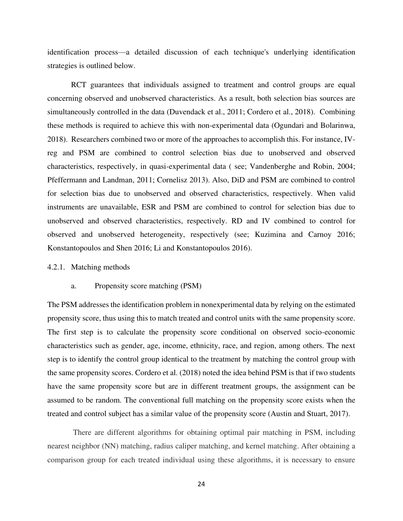identification process—a detailed discussion of each technique's underlying identification strategies is outlined below.

RCT guarantees that individuals assigned to treatment and control groups are equal concerning observed and unobserved characteristics. As a result, both selection bias sources are simultaneously controlled in the data (Duvendack et al., 2011; Cordero et al., 2018). Combining these methods is required to achieve this with non-experimental data (Ogundari and Bolarinwa, 2018). Researchers combined two or more of the approaches to accomplish this. For instance, IVreg and PSM are combined to control selection bias due to unobserved and observed characteristics, respectively, in quasi-experimental data ( see; Vandenberghe and Robin, 2004; Pfeffermann and Landman, 2011; Cornelisz 2013). Also, DiD and PSM are combined to control for selection bias due to unobserved and observed characteristics, respectively. When valid instruments are unavailable, ESR and PSM are combined to control for selection bias due to unobserved and observed characteristics, respectively. RD and IV combined to control for observed and unobserved heterogeneity, respectively (see; Kuzimina and Carnoy 2016; Konstantopoulos and Shen 2016; Li and Konstantopoulos 2016).

#### 4.2.1. Matching methods

#### a. Propensity score matching (PSM)

The PSM addresses the identification problem in nonexperimental data by relying on the estimated propensity score, thus using this to match treated and control units with the same propensity score. The first step is to calculate the propensity score conditional on observed socio-economic characteristics such as gender, age, income, ethnicity, race, and region, among others. The next step is to identify the control group identical to the treatment by matching the control group with the same propensity scores. Cordero et al. (2018) noted the idea behind PSM is that if two students have the same propensity score but are in different treatment groups, the assignment can be assumed to be random. The conventional full matching on the propensity score exists when the treated and control subject has a similar value of the propensity score (Austin and Stuart, 2017).

There are different algorithms for obtaining optimal pair matching in PSM, including nearest neighbor (NN) matching, radius caliper matching, and kernel matching. After obtaining a comparison group for each treated individual using these algorithms, it is necessary to ensure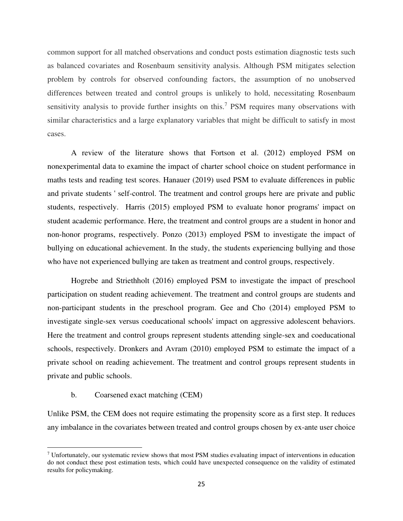common support for all matched observations and conduct posts estimation diagnostic tests such as balanced covariates and Rosenbaum sensitivity analysis. Although PSM mitigates selection problem by controls for observed confounding factors, the assumption of no unobserved differences between treated and control groups is unlikely to hold, necessitating Rosenbaum sensitivity analysis to provide further insights on this.<sup>7</sup> PSM requires many observations with similar characteristics and a large explanatory variables that might be difficult to satisfy in most cases.

A review of the literature shows that Fortson et al. (2012) employed PSM on nonexperimental data to examine the impact of charter school choice on student performance in maths tests and reading test scores. Hanauer (2019) used PSM to evaluate differences in public and private students ' self-control. The treatment and control groups here are private and public students, respectively. Harris (2015) employed PSM to evaluate honor programs' impact on student academic performance. Here, the treatment and control groups are a student in honor and non-honor programs, respectively. Ponzo (2013) employed PSM to investigate the impact of bullying on educational achievement. In the study, the students experiencing bullying and those who have not experienced bullying are taken as treatment and control groups, respectively.

Hogrebe and Striethholt (2016) employed PSM to investigate the impact of preschool participation on student reading achievement. The treatment and control groups are students and non-participant students in the preschool program. Gee and Cho (2014) employed PSM to investigate single-sex versus coeducational schools' impact on aggressive adolescent behaviors. Here the treatment and control groups represent students attending single-sex and coeducational schools, respectively. Dronkers and Avram (2010) employed PSM to estimate the impact of a private school on reading achievement. The treatment and control groups represent students in private and public schools.

## b. Coarsened exact matching (CEM)

Unlike PSM, the CEM does not require estimating the propensity score as a first step. It reduces any imbalance in the covariates between treated and control groups chosen by ex-ante user choice

<sup>&</sup>lt;sup>7</sup> Unfortunately, our systematic review shows that most PSM studies evaluating impact of interventions in education do not conduct these post estimation tests, which could have unexpected consequence on the validity of estimated results for policymaking.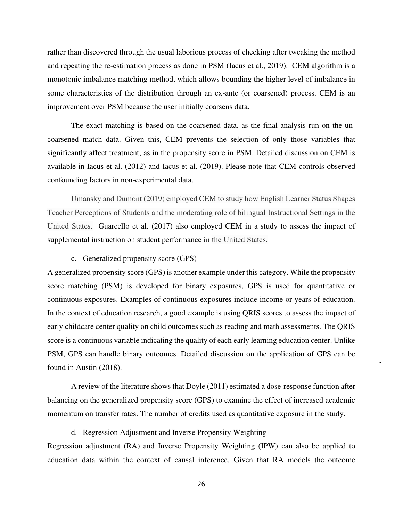rather than discovered through the usual laborious process of checking after tweaking the method and repeating the re-estimation process as done in PSM (Iacus et al., 2019). CEM algorithm is a monotonic imbalance matching method, which allows bounding the higher level of imbalance in some characteristics of the distribution through an ex-ante (or coarsened) process. CEM is an improvement over PSM because the user initially coarsens data.

The exact matching is based on the coarsened data, as the final analysis run on the uncoarsened match data. Given this, CEM prevents the selection of only those variables that significantly affect treatment, as in the propensity score in PSM. Detailed discussion on CEM is available in Iacus et al. (2012) and Iacus et al. (2019). Please note that CEM controls observed confounding factors in non-experimental data.

Umansky and Dumont (2019) employed CEM to study how English Learner Status Shapes Teacher Perceptions of Students and the moderating role of bilingual Instructional Settings in the United States. Guarcello et al. (2017) also employed CEM in a study to assess the impact of supplemental instruction on student performance in the United States.

## c. Generalized propensity score (GPS)

A generalized propensity score (GPS) is another example under this category. While the propensity score matching (PSM) is developed for binary exposures, GPS is used for quantitative or continuous exposures. Examples of continuous exposures include income or years of education. In the context of education research, a good example is using QRIS scores to assess the impact of early childcare center quality on child outcomes such as reading and math assessments. The QRIS score is a continuous variable indicating the quality of each early learning education center. Unlike PSM, GPS can handle binary outcomes. Detailed discussion on the application of GPS can be found in Austin (2018).

A review of the literature shows that Doyle (2011) estimated a dose-response function after balancing on the generalized propensity score (GPS) to examine the effect of increased academic momentum on transfer rates. The number of credits used as quantitative exposure in the study.

## d. Regression Adjustment and Inverse Propensity Weighting

Regression adjustment (RA) and Inverse Propensity Weighting (IPW) can also be applied to education data within the context of causal inference. Given that RA models the outcome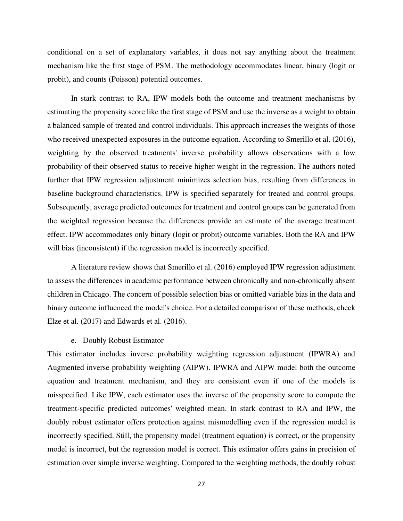conditional on a set of explanatory variables, it does not say anything about the treatment mechanism like the first stage of PSM. The methodology accommodates linear, binary (logit or probit), and counts (Poisson) potential outcomes.

In stark contrast to RA, IPW models both the outcome and treatment mechanisms by estimating the propensity score like the first stage of PSM and use the inverse as a weight to obtain a balanced sample of treated and control individuals. This approach increases the weights of those who received unexpected exposures in the outcome equation. According to Smerillo et al. (2016), weighting by the observed treatments' inverse probability allows observations with a low probability of their observed status to receive higher weight in the regression. The authors noted further that IPW regression adjustment minimizes selection bias, resulting from differences in baseline background characteristics. IPW is specified separately for treated and control groups. Subsequently, average predicted outcomes for treatment and control groups can be generated from the weighted regression because the differences provide an estimate of the average treatment effect. IPW accommodates only binary (logit or probit) outcome variables. Both the RA and IPW will bias (inconsistent) if the regression model is incorrectly specified.

A literature review shows that Smerillo et al. (2016) employed IPW regression adjustment to assess the differences in academic performance between chronically and non-chronically absent children in Chicago. The concern of possible selection bias or omitted variable bias in the data and binary outcome influenced the model's choice. For a detailed comparison of these methods, check Elze et al. (2017) and Edwards et al. (2016).

#### e. Doubly Robust Estimator

This estimator includes inverse probability weighting regression adjustment (IPWRA) and Augmented inverse probability weighting (AIPW). IPWRA and AIPW model both the outcome equation and treatment mechanism, and they are consistent even if one of the models is misspecified. Like IPW, each estimator uses the inverse of the propensity score to compute the treatment-specific predicted outcomes' weighted mean. In stark contrast to RA and IPW, the doubly robust estimator offers protection against mismodelling even if the regression model is incorrectly specified. Still, the propensity model (treatment equation) is correct, or the propensity model is incorrect, but the regression model is correct. This estimator offers gains in precision of estimation over simple inverse weighting. Compared to the weighting methods, the doubly robust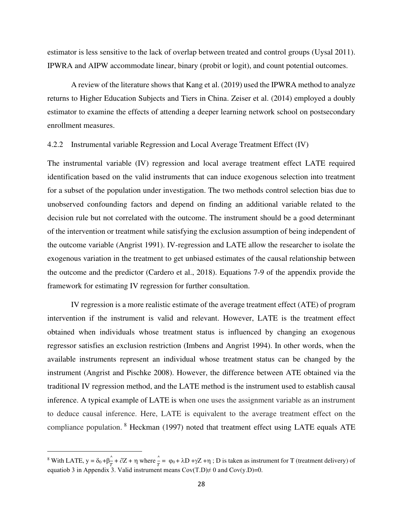estimator is less sensitive to the lack of overlap between treated and control groups (Uysal 2011). IPWRA and AIPW accommodate linear, binary (probit or logit), and count potential outcomes.

A review of the literature shows that Kang et al. (2019) used the IPWRA method to analyze returns to Higher Education Subjects and Tiers in China. Zeiser et al. (2014) employed a doubly estimator to examine the effects of attending a deeper learning network school on postsecondary enrollment measures.

## 4.2.2 Instrumental variable Regression and Local Average Treatment Effect (IV)

The instrumental variable (IV) regression and local average treatment effect LATE required identification based on the valid instruments that can induce exogenous selection into treatment for a subset of the population under investigation. The two methods control selection bias due to unobserved confounding factors and depend on finding an additional variable related to the decision rule but not correlated with the outcome. The instrument should be a good determinant of the intervention or treatment while satisfying the exclusion assumption of being independent of the outcome variable (Angrist 1991). IV-regression and LATE allow the researcher to isolate the exogenous variation in the treatment to get unbiased estimates of the causal relationship between the outcome and the predictor (Cardero et al., 2018). Equations 7-9 of the appendix provide the framework for estimating IV regression for further consultation.

IV regression is a more realistic estimate of the average treatment effect (ATE) of program intervention if the instrument is valid and relevant. However, LATE is the treatment effect obtained when individuals whose treatment status is influenced by changing an exogenous regressor satisfies an exclusion restriction (Imbens and Angrist 1994). In other words, when the available instruments represent an individual whose treatment status can be changed by the instrument (Angrist and Pischke 2008). However, the difference between ATE obtained via the traditional IV regression method, and the LATE method is the instrument used to establish causal inference. A typical example of LATE is when one uses the assignment variable as an instrument to deduce causal inference. Here, LATE is equivalent to the average treatment effect on the compliance population. <sup>8</sup> Heckman (1997) noted that treatment effect using LATE equals ATE

<sup>&</sup>lt;sup>8</sup> With LATE,  $y = \delta_0 + \beta \frac{1}{x}$  $\frac{\hat{T}}{T} + \frac{\partial Z}{\partial T} + \eta$  where  $\frac{\hat{T}}{T} = \varphi_0 + \lambda D + \gamma Z + \eta$ ; D is taken as instrument for T (treatment delivery) of equatiob 3 in Appendix 3. Valid instrument means  $Cov(T.D) \neq 0$  and  $Cov(y.D)=0$ .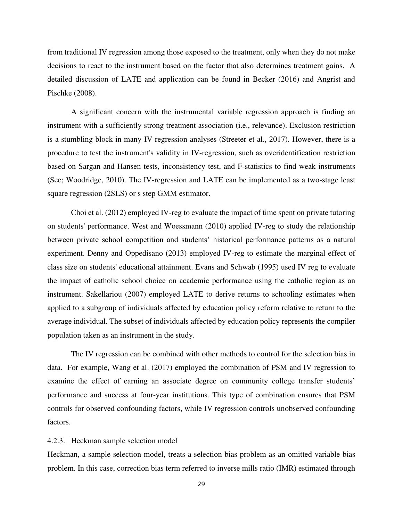from traditional IV regression among those exposed to the treatment, only when they do not make decisions to react to the instrument based on the factor that also determines treatment gains. A detailed discussion of LATE and application can be found in Becker (2016) and Angrist and Pischke (2008).

A significant concern with the instrumental variable regression approach is finding an instrument with a sufficiently strong treatment association (i.e., relevance). Exclusion restriction is a stumbling block in many IV regression analyses (Streeter et al., 2017). However, there is a procedure to test the instrument's validity in IV-regression, such as overidentification restriction based on Sargan and Hansen tests, inconsistency test, and F-statistics to find weak instruments (See; Woodridge, 2010). The IV-regression and LATE can be implemented as a two-stage least square regression (2SLS) or s step GMM estimator.

Choi et al. (2012) employed IV-reg to evaluate the impact of time spent on private tutoring on students' performance. West and Woessmann (2010) applied IV-reg to study the relationship between private school competition and students' historical performance patterns as a natural experiment. Denny and Oppedisano (2013) employed IV-reg to estimate the marginal effect of class size on students' educational attainment. Evans and Schwab (1995) used IV reg to evaluate the impact of catholic school choice on academic performance using the catholic region as an instrument. Sakellariou (2007) employed LATE to derive returns to schooling estimates when applied to a subgroup of individuals affected by education policy reform relative to return to the average individual. The subset of individuals affected by education policy represents the compiler population taken as an instrument in the study.

The IV regression can be combined with other methods to control for the selection bias in data. For example, Wang et al. (2017) employed the combination of PSM and IV regression to examine the effect of earning an associate degree on community college transfer students' performance and success at four-year institutions. This type of combination ensures that PSM controls for observed confounding factors, while IV regression controls unobserved confounding factors.

## 4.2.3. Heckman sample selection model

Heckman, a sample selection model, treats a selection bias problem as an omitted variable bias problem. In this case, correction bias term referred to inverse mills ratio (IMR) estimated through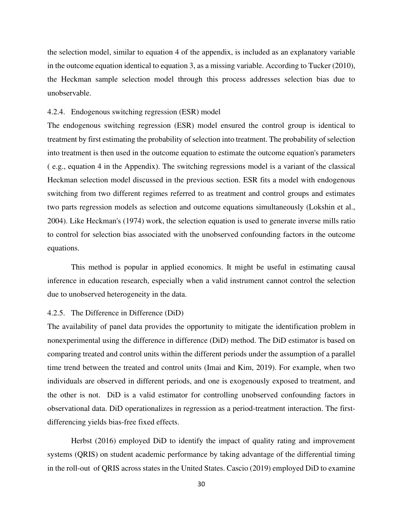the selection model, similar to equation 4 of the appendix, is included as an explanatory variable in the outcome equation identical to equation 3, as a missing variable. According to Tucker (2010), the Heckman sample selection model through this process addresses selection bias due to unobservable.

## 4.2.4. Endogenous switching regression (ESR) model

The endogenous switching regression (ESR) model ensured the control group is identical to treatment by first estimating the probability of selection into treatment. The probability of selection into treatment is then used in the outcome equation to estimate the outcome equation's parameters ( e.g., equation 4 in the Appendix). The switching regressions model is a variant of the classical Heckman selection model discussed in the previous section. ESR fits a model with endogenous switching from two different regimes referred to as treatment and control groups and estimates two parts regression models as selection and outcome equations simultaneously (Lokshin et al., 2004). Like Heckman's (1974) work, the selection equation is used to generate inverse mills ratio to control for selection bias associated with the unobserved confounding factors in the outcome equations.

This method is popular in applied economics. It might be useful in estimating causal inference in education research, especially when a valid instrument cannot control the selection due to unobserved heterogeneity in the data.

## 4.2.5. The Difference in Difference (DiD)

The availability of panel data provides the opportunity to mitigate the identification problem in nonexperimental using the difference in difference (DiD) method. The DiD estimator is based on comparing treated and control units within the different periods under the assumption of a parallel time trend between the treated and control units (Imai and Kim, 2019). For example, when two individuals are observed in different periods, and one is exogenously exposed to treatment, and the other is not. DiD is a valid estimator for controlling unobserved confounding factors in observational data. DiD operationalizes in regression as a period-treatment interaction. The firstdifferencing yields bias-free fixed effects.

Herbst (2016) employed DiD to identify the impact of quality rating and improvement systems (QRIS) on student academic performance by taking advantage of the differential timing in the roll-out of QRIS across states in the United States. Cascio (2019) employed DiD to examine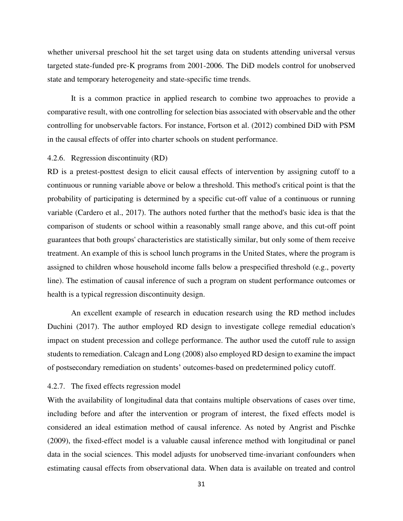whether universal preschool hit the set target using data on students attending universal versus targeted state-funded pre-K programs from 2001-2006. The DiD models control for unobserved state and temporary heterogeneity and state-specific time trends.

It is a common practice in applied research to combine two approaches to provide a comparative result, with one controlling for selection bias associated with observable and the other controlling for unobservable factors. For instance, Fortson et al. (2012) combined DiD with PSM in the causal effects of offer into charter schools on student performance.

#### 4.2.6. Regression discontinuity (RD)

RD is a pretest-posttest design to elicit causal effects of intervention by assigning cutoff to a continuous or running variable above or below a threshold. This method's critical point is that the probability of participating is determined by a specific cut-off value of a continuous or running variable (Cardero et al., 2017). The authors noted further that the method's basic idea is that the comparison of students or school within a reasonably small range above, and this cut-off point guarantees that both groups' characteristics are statistically similar, but only some of them receive treatment. An example of this is school lunch programs in the United States, where the program is assigned to children whose household income falls below a prespecified threshold (e.g., poverty line). The estimation of causal inference of such a program on student performance outcomes or health is a typical regression discontinuity design.

An excellent example of research in education research using the RD method includes Duchini (2017). The author employed RD design to investigate college remedial education's impact on student precession and college performance. The author used the cutoff rule to assign students to remediation. Calcagn and Long (2008) also employed RD design to examine the impact of postsecondary remediation on students' outcomes-based on predetermined policy cutoff.

#### 4.2.7. The fixed effects regression model

With the availability of longitudinal data that contains multiple observations of cases over time, including before and after the intervention or program of interest, the fixed effects model is considered an ideal estimation method of causal inference. As noted by Angrist and Pischke (2009), the fixed-effect model is a valuable causal inference method with longitudinal or panel data in the social sciences. This model adjusts for unobserved time-invariant confounders when estimating causal effects from observational data. When data is available on treated and control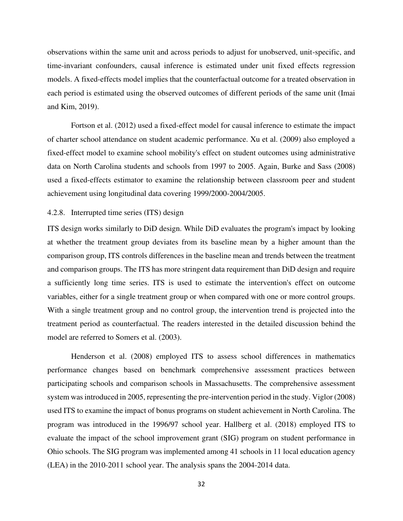observations within the same unit and across periods to adjust for unobserved, unit-specific, and time-invariant confounders, causal inference is estimated under unit fixed effects regression models. A fixed-effects model implies that the counterfactual outcome for a treated observation in each period is estimated using the observed outcomes of different periods of the same unit (Imai and Kim, 2019).

Fortson et al. (2012) used a fixed-effect model for causal inference to estimate the impact of charter school attendance on student academic performance. Xu et al. (2009) also employed a fixed-effect model to examine school mobility's effect on student outcomes using administrative data on North Carolina students and schools from 1997 to 2005. Again, Burke and Sass (2008) used a fixed-effects estimator to examine the relationship between classroom peer and student achievement using longitudinal data covering 1999/2000-2004/2005.

#### 4.2.8. Interrupted time series (ITS) design

ITS design works similarly to DiD design. While DiD evaluates the program's impact by looking at whether the treatment group deviates from its baseline mean by a higher amount than the comparison group, ITS controls differences in the baseline mean and trends between the treatment and comparison groups. The ITS has more stringent data requirement than DiD design and require a sufficiently long time series. ITS is used to estimate the intervention's effect on outcome variables, either for a single treatment group or when compared with one or more control groups. With a single treatment group and no control group, the intervention trend is projected into the treatment period as counterfactual. The readers interested in the detailed discussion behind the model are referred to Somers et al. (2003).

Henderson et al. (2008) employed ITS to assess school differences in mathematics performance changes based on benchmark comprehensive assessment practices between participating schools and comparison schools in Massachusetts. The comprehensive assessment system was introduced in 2005, representing the pre-intervention period in the study. Viglor (2008) used ITS to examine the impact of bonus programs on student achievement in North Carolina. The program was introduced in the 1996/97 school year. Hallberg et al. (2018) employed ITS to evaluate the impact of the school improvement grant (SIG) program on student performance in Ohio schools. The SIG program was implemented among 41 schools in 11 local education agency (LEA) in the 2010-2011 school year. The analysis spans the 2004-2014 data.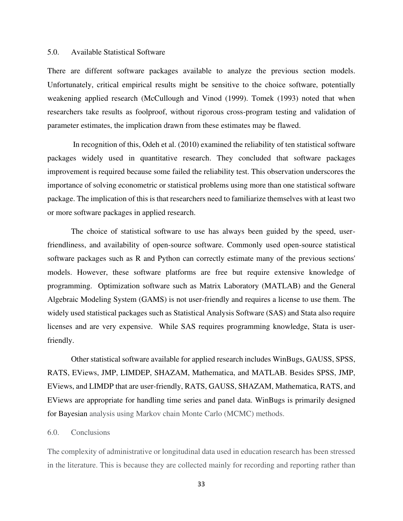#### 5.0. Available Statistical Software

There are different software packages available to analyze the previous section models. Unfortunately, critical empirical results might be sensitive to the choice software, potentially weakening applied research (McCullough and Vinod (1999). Tomek (1993) noted that when researchers take results as foolproof, without rigorous cross-program testing and validation of parameter estimates, the implication drawn from these estimates may be flawed.

 In recognition of this, Odeh et al. (2010) examined the reliability of ten statistical software packages widely used in quantitative research. They concluded that software packages improvement is required because some failed the reliability test. This observation underscores the importance of solving econometric or statistical problems using more than one statistical software package. The implication of this is that researchers need to familiarize themselves with at least two or more software packages in applied research.

The choice of statistical software to use has always been guided by the speed, userfriendliness, and availability of open-source software. Commonly used open-source statistical software packages such as R and Python can correctly estimate many of the previous sections' models. However, these software platforms are free but require extensive knowledge of programming. Optimization software such as Matrix Laboratory (MATLAB) and the General Algebraic Modeling System (GAMS) is not user-friendly and requires a license to use them. The widely used statistical packages such as Statistical Analysis Software (SAS) and Stata also require licenses and are very expensive. While SAS requires programming knowledge, Stata is userfriendly.

Other statistical software available for applied research includes WinBugs, GAUSS, SPSS, RATS, EViews, JMP, LIMDEP, SHAZAM, Mathematica, and MATLAB. Besides SPSS, JMP, EViews, and LIMDP that are user-friendly, RATS, GAUSS, SHAZAM, Mathematica, RATS, and EViews are appropriate for handling time series and panel data. WinBugs is primarily designed for Bayesian analysis using Markov chain Monte Carlo (MCMC) methods.

#### 6.0. Conclusions

The complexity of administrative or longitudinal data used in education research has been stressed in the literature. This is because they are collected mainly for recording and reporting rather than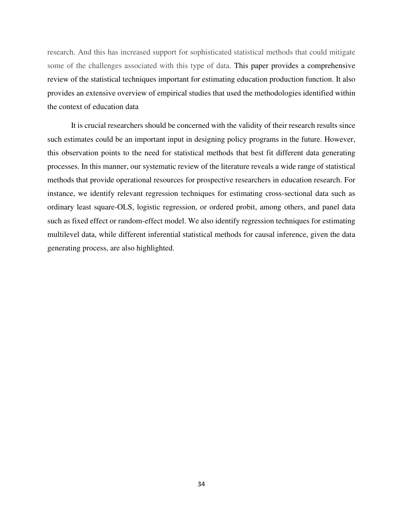research. And this has increased support for sophisticated statistical methods that could mitigate some of the challenges associated with this type of data. This paper provides a comprehensive review of the statistical techniques important for estimating education production function. It also provides an extensive overview of empirical studies that used the methodologies identified within the context of education data

It is crucial researchers should be concerned with the validity of their research results since such estimates could be an important input in designing policy programs in the future. However, this observation points to the need for statistical methods that best fit different data generating processes. In this manner, our systematic review of the literature reveals a wide range of statistical methods that provide operational resources for prospective researchers in education research. For instance, we identify relevant regression techniques for estimating cross-sectional data such as ordinary least square-OLS, logistic regression, or ordered probit, among others, and panel data such as fixed effect or random-effect model. We also identify regression techniques for estimating multilevel data, while different inferential statistical methods for causal inference, given the data generating process, are also highlighted.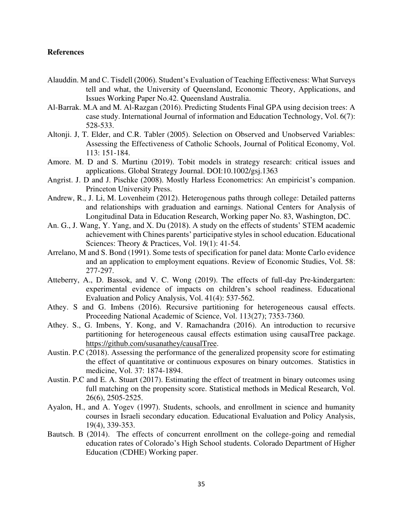## **References**

- Alauddin. M and C. Tisdell (2006). Student's Evaluation of Teaching Effectiveness: What Surveys tell and what, the University of Queensland, Economic Theory, Applications, and Issues Working Paper No.42. Queensland Australia.
- Al-Barrak. M.A and M. Al-Razgan (2016). Predicting Students Final GPA using decision trees: A case study. International Journal of information and Education Technology, Vol. 6(7): 528-533.
- Altonji. J, T. Elder, and C.R. Tabler (2005). Selection on Observed and Unobserved Variables: Assessing the Effectiveness of Catholic Schools, Journal of Political Economy, Vol. 113: 151-184.
- Amore. M. D and S. Murtinu (2019). Tobit models in strategy research: critical issues and applications. Global Strategy Journal. DOI:10.1002/gsj.1363
- Angrist. J. D and J. Pischke (2008). Mostly Harless Econometrics: An empiricist's companion. Princeton University Press.
- Andrew, R., J. Li, M. Lovenheim (2012). Heterogenous paths through college: Detailed patterns and relationships with graduation and earnings. National Centers for Analysis of Longitudinal Data in Education Research, Working paper No. 83, Washington, DC.
- An. G., J. Wang, Y. Yang, and X. Du (2018). A study on the effects of students' STEM academic achievement with Chines parents' participative styles in school education. Educational Sciences: Theory & Practices, Vol. 19(1): 41-54.
- Arrelano, M and S. Bond (1991). Some tests of specification for panel data: Monte Carlo evidence and an application to employment equations. Review of Economic Studies, Vol. 58: 277-297.
- Atteberry, A., D. Bassok, and V. C. Wong (2019). The effects of full-day Pre-kindergarten: experimental evidence of impacts on children's school readiness. Educational Evaluation and Policy Analysis, Vol. 41(4): 537-562.
- Athey. S and G. Imbens (2016). Recursive partitioning for heterogeneous causal effects. Proceeding National Academic of Science, Vol. 113(27); 7353-7360.
- Athey. S., G. Imbens, Y. Kong, and V. Ramachandra (2016). An introduction to recursive partitioning for heterogeneous causal effects estimation using causalTree package. [https://github.com/susanathey/causalTree.](https://github.com/susanathey/causalTree)
- Austin. P.C (2018). Assessing the performance of the generalized propensity score for estimating the effect of quantitative or continuous exposures on binary outcomes. Statistics in medicine, Vol. 37: 1874-1894.
- Austin. P.C and E. A. Stuart (2017). Estimating the effect of treatment in binary outcomes using full matching on the propensity score. Statistical methods in Medical Research, Vol. 26(6), 2505-2525.
- Ayalon, H., and A. Yogev (1997). Students, schools, and enrollment in science and humanity courses in Israeli secondary education. Educational Evaluation and Policy Analysis, 19(4), 339-353.
- Bautsch. B (2014). The effects of concurrent enrollment on the college-going and remedial education rates of Colorado's High School students. Colorado Department of Higher Education (CDHE) Working paper.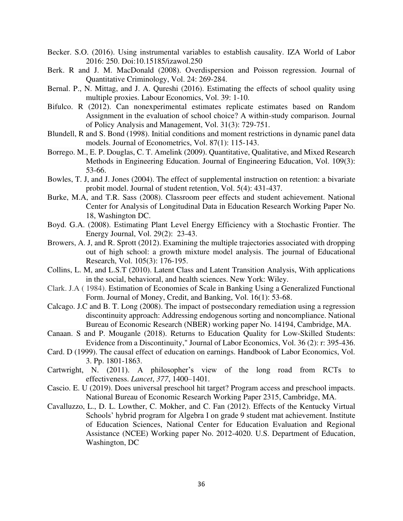- Becker. S.O. (2016). Using instrumental variables to establish causality. IZA World of Labor 2016: 250. Doi:10.15185/izawol.250
- Berk. R and J. M. MacDonald (2008). Overdispersion and Poisson regression. Journal of Quantitative Criminology, Vol. 24: 269-284.
- Bernal. P., N. Mittag, and J. A. Qureshi (2016). Estimating the effects of school quality using multiple proxies. Labour Economics, Vol. 39: 1-10.
- Bifulco. R (2012). Can nonexperimental estimates replicate estimates based on Random Assignment in the evaluation of school choice? A within-study comparison. Journal of Policy Analysis and Management, Vol. 31(3): 729-751.
- Blundell, R and S. Bond (1998). Initial conditions and moment restrictions in dynamic panel data models. Journal of Econometrics, Vol. 87(1): 115-143.
- Borrego. M., E. P. Douglas, C. T. Amelink (2009). Quantitative, Qualitative, and Mixed Research Methods in Engineering Education. Journal of Engineering Education, Vol. 109(3): 53-66.
- Bowles, T. J, and J. Jones (2004). The effect of supplemental instruction on retention: a bivariate probit model. Journal of student retention, Vol. 5(4): 431-437.
- Burke, M.A, and T.R. Sass (2008). Classroom peer effects and student achievement. National Center for Analysis of Longitudinal Data in Education Research Working Paper No. 18, Washington DC.
- Boyd. G.A. (2008). Estimating Plant Level Energy Efficiency with a Stochastic Frontier. The Energy Journal, Vol. 29(2): 23-43.
- Browers, A. J, and R. Sprott (2012). Examining the multiple trajectories associated with dropping out of high school: a growth mixture model analysis. The journal of Educational Research, Vol. 105(3): 176-195.
- Collins, L. M, and L.S.T (2010). Latent Class and Latent Transition Analysis, With applications in the social, behavioral, and health sciences. New York: Wiley.
- Clark. J.A ( 1984). Estimation of Economies of Scale in Banking Using a Generalized Functional Form. Journal of Money, Credit, and Banking, Vol. 16(1): 53-68.
- Calcago. J.C and B. T. Long (2008). The impact of postsecondary remediation using a regression discontinuity approach: Addressing endogenous sorting and noncompliance. National Bureau of Economic Research (NBER) working paper No. 14194, Cambridge, MA.
- Canaan. S and P. Mouganle (2018). Returns to Education Quality for Low-Skilled Students: Evidence from a Discontinuity," Journal of Labor Economics, Vol. 36 (2): r: 395-436.
- Card. D (1999). The causal effect of education on earnings. Handbook of Labor Economics, Vol. 3. Pp. 1801-1863.
- Cartwright, N. (2011). A philosopher's view of the long road from RCTs to effectiveness. *Lancet*, *377*, 1400–1401.
- Cascio. E. U (2019). Does universal preschool hit target? Program access and preschool impacts. National Bureau of Economic Research Working Paper 2315, Cambridge, MA.
- Cavalluzzo, L., D. L. Lowther, C. Mokher, and C. Fan (2012). Effects of the Kentucky Virtual Schools' hybrid program for Algebra I on grade 9 student mat achievement. Institute of Education Sciences, National Center for Education Evaluation and Regional Assistance (NCEE) Working paper No. 2012-4020. U.S. Department of Education, Washington, DC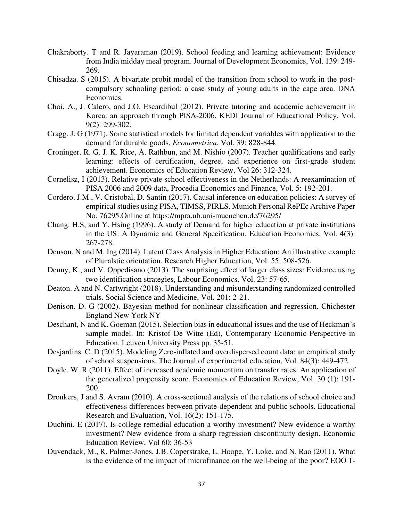- Chakraborty. T and R. Jayaraman (2019). School feeding and learning achievement: Evidence from India midday meal program. Journal of Development Economics, Vol. 139: 249- 269.
- Chisadza. S (2015). A bivariate probit model of the transition from school to work in the postcompulsory schooling period: a case study of young adults in the cape area. DNA Economics.
- Choi, A., J. Calero, and J.O. Escardibul (2012). Private tutoring and academic achievement in Korea: an approach through PISA-2006, KEDI Journal of Educational Policy, Vol. 9(2): 299-302.
- Cragg. J. G (1971). Some statistical models for limited dependent variables with application to the demand for durable goods, *Econometrica*, Vol. 39: 828-844.
- Croninger, R. G. J. K. Rice, A. Rathbun, and M. Nishio (2007). Teacher qualifications and early learning: effects of certification, degree, and experience on first-grade student achievement. Economics of Education Review, Vol 26: 312-324.
- Cornelisz, I (2013). Relative private school effectiveness in the Netherlands: A reexamination of PISA 2006 and 2009 data, Procedia Economics and Finance, Vol. 5: 192-201.
- Cordero. J.M., V. Cristobal, D. Santin (2017). Causal inference on education policies: A survey of empirical studies using PISA, TIMSS, PIRLS. Munich Personal RePEc Archive Paper No. 76295.Online at https;//mpra.ub.uni-muenchen.de/76295/
- Chang. H.S, and Y. Hsing (1996). A study of Demand for higher education at private institutions in the US: A Dynamic and General Specification, Education Economics, Vol. 4(3): 267-278.
- Denson. N and M. Ing (2014). Latent Class Analysis in Higher Education: An illustrative example of Pluralstic orientation. Research Higher Education, Vol. 55: 508-526.
- Denny, K., and V. Oppedisano (2013). The surprising effect of larger class sizes: Evidence using two identification strategies, Labour Economics, Vol. 23: 57-65.
- Deaton. A and N. Cartwright (2018). Understanding and misunderstanding randomized controlled trials. Social Science and Medicine, Vol. 201: 2-21.
- Denison. D. G (2002). Bayesian method for nonlinear classification and regression. Chichester England New York NY
- Deschant, N and K. Goeman (2015). Selection bias in educational issues and the use of Heckman's sample model. In: Kristof De Witte (Ed), Contemporary Economic Perspective in Education. Leuven University Press pp. 35-51.
- Desjardins. C. D (2015). Modeling Zero-inflated and overdispersed count data: an empirical study of school suspensions. The Journal of experimental education, Vol. 84(3): 449-472.
- Doyle. W. R (2011). Effect of increased academic momentum on transfer rates: An application of the generalized propensity score. Economics of Education Review, Vol. 30 (1): 191- 200.
- Dronkers, J and S. Avram (2010). A cross-sectional analysis of the relations of school choice and effectiveness differences between private-dependent and public schools. Educational Research and Evaluation, Vol. 16(2): 151-175.
- Duchini. E (2017). Is college remedial education a worthy investment? New evidence a worthy investment? New evidence from a sharp regression discontinuity design. Economic Education Review, Vol 60: 36-53
- Duvendack, M., R. Palmer-Jones, J.B. Coperstrake, L. Hoope, Y. Loke, and N. Rao (2011). What is the evidence of the impact of microfinance on the well-being of the poor? EOO 1-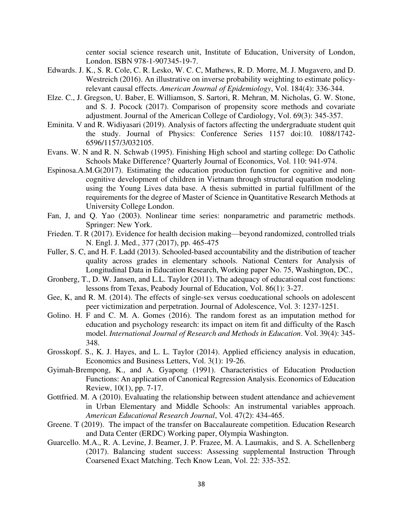center social science research unit, Institute of Education, University of London, London. ISBN 978-1-907345-19-7.

- Edwards. J. K., S. R. Cole, C. R. Lesko, W. C. C, Mathews, R. D. Morre, M. J. Mugavero, and D. Westreich (2016). An illustrative on inverse probability weighting to estimate policyrelevant causal effects. *American Journal of Epidemiology*, Vol. 184(4): 336-344.
- Elze. C., J. Gregson, U. Baber, E. Williamson, S. Sartori, R. Mehran, M. Nicholas, G. W. Stone, and S. J. Pocock (2017). Comparison of propensity score methods and covariate adjustment. Journal of the American College of Cardiology, Vol. 69(3): 345-357.
- Eminita. V and R. Widiyasari (2019). Analysis of factors affecting the undergraduate student quit the study. Journal of Physics: Conference Series 1157 doi:10. 1088/1742- 6596/1157/3/032105.
- Evans. W. N and R. N. Schwab (1995). Finishing High school and starting college: Do Catholic Schools Make Difference? Quarterly Journal of Economics, Vol. 110: 941-974.
- Espinosa.A.M.G(2017). Estimating the education production function for cognitive and noncognitive development of children in Vietnam through structural equation modeling using the Young Lives data base. A thesis submitted in partial fulfillment of the requirements for the degree of Master of Science in Quantitative Research Methods at University College London.
- Fan, J, and Q. Yao (2003). Nonlinear time series: nonparametric and parametric methods. Springer: New York.
- Frieden. T. R (2017). Evidence for health decision making—beyond randomized, controlled trials N. Engl. J. Med., 377 (2017), pp. 465-475
- Fuller, S. C, and H. F. Ladd (2013). Schooled-based accountability and the distribution of teacher quality across grades in elementary schools. National Centers for Analysis of Longitudinal Data in Education Research, Working paper No. 75, Washington, DC.,
- Gronberg, T., D. W. Jansen, and L.L. Taylor (2011). The adequacy of educational cost functions: lessons from Texas, Peabody Journal of Education, Vol. 86(1): 3-27.
- Gee, K, and R. M. (2014). The effects of single-sex versus coeducational schools on adolescent peer victimization and perpetration. Journal of Adolescence, Vol. 3: 1237-1251.
- Golino. H. F and C. M. A. Gomes (2016). The random forest as an imputation method for education and psychology research: its impact on item fit and difficulty of the Rasch model. *International Journal of Research and Methods in Education*. Vol. 39(4): 345- 348.
- Grosskopf. S., K. J. Hayes, and L. L. Taylor (2014). Applied efficiency analysis in education, Economics and Business Letters, Vol. 3(1): 19-26.
- Gyimah-Brempong, K., and A. Gyapong (1991). Characteristics of Education Production Functions: An application of Canonical Regression Analysis. Economics of Education Review, 10(1), pp. 7-17.
- Gottfried. M. A (2010). Evaluating the relationship between student attendance and achievement in Urban Elementary and Middle Schools: An instrumental variables approach. *American Educational Research Journal*, Vol. 47(2): 434-465.
- Greene. T (2019). The impact of the transfer on Baccalaureate competition. Education Research and Data Center (ERDC) Working paper, Olympia Washington.
- Guarcello. M.A., R. A. Levine, J. Beamer, J. P. Frazee, M. A. Laumakis, and S. A. Schellenberg (2017). Balancing student success: Assessing supplemental Instruction Through Coarsened Exact Matching. Tech Know Lean, Vol. 22: 335-352.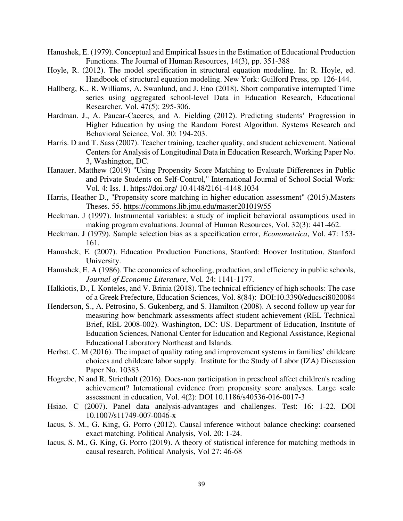- Hanushek, E. (1979). Conceptual and Empirical Issues in the Estimation of Educational Production Functions. The Journal of Human Resources, 14(3), pp. 351-388
- Hoyle, R. (2012). The model specification in structural equation modeling. In: R. Hoyle, ed. Handbook of structural equation modeling. New York: Guilford Press, pp. 126-144.
- Hallberg, K., R. Williams, A. Swanlund, and J. Eno (2018). Short comparative interrupted Time series using aggregated school-level Data in Education Research, Educational Researcher, Vol. 47(5): 295-306.
- Hardman. J., A. Paucar-Caceres, and A. Fielding (2012). Predicting students' Progression in Higher Education by using the Random Forest Algorithm. Systems Research and Behavioral Science, Vol. 30: 194-203.
- Harris. D and T. Sass (2007). Teacher training, teacher quality, and student achievement. National Centers for Analysis of Longitudinal Data in Education Research, Working Paper No. 3, Washington, DC.
- Hanauer, Matthew (2019) "Using Propensity Score Matching to Evaluate Differences in Public and Private Students on Self-Control," International Journal of School Social Work: Vol. 4: Iss. 1. https://doi.org/ 10.4148/2161-4148.1034
- Harris, Heather D., "Propensity score matching in higher education assessment" (2015).Masters Theses. 55.<https://commons.lib.jmu.edu/master201019/55>
- Heckman. J (1997). Instrumental variables: a study of implicit behavioral assumptions used in making program evaluations. Journal of Human Resources, Vol. 32(3): 441-462.
- Heckman. J (1979). Sample selection bias as a specification error, *Econometrica*, Vol. 47: 153- 161.
- Hanushek, E. (2007). Education Production Functions, Stanford: Hoover Institution, Stanford University.
- Hanushek, E. A (1986). The economics of schooling, production, and efficiency in public schools, *Journal of Economic Literature*, Vol. 24: 1141-1177.
- Halkiotis, D., I. Konteles, and V. Brinia (2018). The technical efficiency of high schools: The case of a Greek Prefecture, Education Sciences, Vol. 8(84): DOI:10.3390/educsci8020084
- Henderson, S., A. Petrosino, S. Gukenberg, and S. Hamilton (2008). A second follow up year for measuring how benchmark assessments affect student achievement (REL Technical Brief, REL 2008-002). Washington, DC: US. Department of Education, Institute of Education Sciences, National Center for Education and Regional Assistance, Regional Educational Laboratory Northeast and Islands.
- Herbst. C. M (2016). The impact of quality rating and improvement systems in families' childcare choices and childcare labor supply. Institute for the Study of Labor (IZA) Discussion Paper No. 10383.
- Hogrebe, N and R. Strietholt (2016). Does-non participation in preschool affect children's reading achievement? International evidence from propensity score analyses. Large scale assessment in education, Vol. 4(2): DOI 10.1186/s40536‑016‑0017‑3
- Hsiao. C (2007). Panel data analysis-advantages and challenges. Test: 16: 1-22. DOI 10.1007/s11749-007-0046-x
- Iacus, S. M., G. King, G. Porro (2012). Causal inference without balance checking: coarsened exact matching. Political Analysis, Vol. 20: 1-24.
- Iacus, S. M., G. King, G. Porro (2019). A theory of statistical inference for matching methods in causal research, Political Analysis, Vol 27: 46-68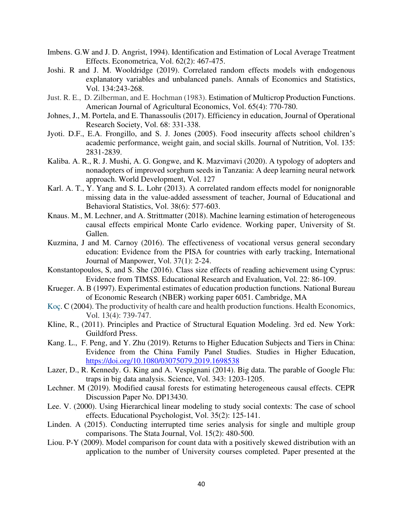- Imbens. G.W and J. D. Angrist, 1994). Identification and Estimation of Local Average Treatment Effects. Econometrica, Vol. 62(2): 467-475.
- Joshi. R and J. M. Wooldridge (2019). Correlated random effects models with endogenous explanatory variables and unbalanced panels. Annals of Economics and Statistics, Vol. 134:243-268.
- Just. R. E., D. Zilberman, and E. Hochman (1983). Estimation of Multicrop Production Functions. American Journal of Agricultural Economics, Vol. 65(4): 770-780.
- Johnes, J., M. Portela, and E. Thanassoulis (2017). Efficiency in education, Journal of Operational Research Society, Vol. 68: 331-338.
- Jyoti. D.F., E.A. Frongillo, and S. J. Jones (2005). Food insecurity affects school children's academic performance, weight gain, and social skills. Journal of Nutrition, Vol. 135: 2831-2839.
- Kaliba. A. R., R. J. Mushi, A. G. Gongwe, and K. Mazvimavi (2020). A typology of adopters and nonadopters of improved sorghum seeds in Tanzania: A deep learning neural network approach. World Development, Vol. 127
- Karl. A. T., Y. Yang and S. L. Lohr (2013). A correlated random effects model for nonignorable missing data in the value-added assessment of teacher, Journal of Educational and Behavioral Statistics, Vol. 38(6): 577-603.
- Knaus. M., M. Lechner, and A. Strittmatter (2018). Machine learning estimation of heterogeneous causal effects empirical Monte Carlo evidence. Working paper, University of St. Gallen.
- Kuzmina, J and M. Carnoy (2016). The effectiveness of vocational versus general secondary education: Evidence from the PISA for countries with early tracking, International Journal of Manpower, Vol. 37(1): 2-24.
- Konstantopoulos, S, and S. She (2016). Class size effects of reading achievement using Cyprus: Evidence from TIMSS. Educational Research and Evaluation, Vol. 22: 86-109.
- Krueger. A. B (1997). Experimental estimates of education production functions. National Bureau of Economic Research (NBER) working paper 6051. Cambridge, MA
- [Koç.](https://onlinelibrary.wiley.com/action/doSearch?ContribAuthorStored=Ko%C3%A7%2C+%C3%87a%C4%9Fatay) C (2004). The productivity of health care and health production functions. Health Economics, Vol. 13(4): 739-747.
- Kline, R., (2011). Principles and Practice of Structural Equation Modeling. 3rd ed. New York: Guildford Press.
- Kang. L., F. Peng, and Y. Zhu (2019). Returns to Higher Education Subjects and Tiers in China: Evidence from the China Family Panel Studies. Studies in Higher Education, <https://doi.org/10.1080/03075079.2019.1698538>
- Lazer, D., R. Kennedy. G. King and A. Vespignani (2014). Big data. The parable of Google Flu: traps in big data analysis. Science, Vol. 343: 1203-1205.
- Lechner. M (2019). Modified causal forests for estimating heterogeneous causal effects. CEPR Discussion Paper No. DP13430.
- Lee. V. (2000). Using Hierarchical linear modeling to study social contexts: The case of school effects. Educational Psychologist, Vol. 35(2): 125-141.
- Linden. A (2015). Conducting interrupted time series analysis for single and multiple group comparisons. The Stata Journal, Vol. 15(2): 480-500.
- Liou. P-Y (2009). Model comparison for count data with a positively skewed distribution with an application to the number of University courses completed. Paper presented at the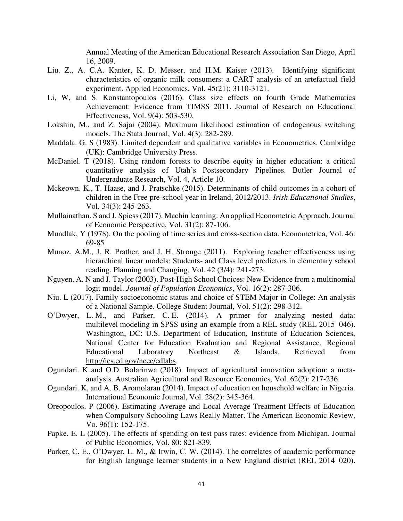Annual Meeting of the American Educational Research Association San Diego, April 16, 2009.

- Liu. Z., A. C.A. Kanter, K. D. Messer, and H.M. Kaiser (2013). Identifying significant characteristics of organic milk consumers: a CART analysis of an artefactual field experiment. Applied Economics, Vol. 45(21): 3110-3121.
- Li, W, and S. Konstantopoulos (2016). Class size effects on fourth Grade Mathematics Achievement: Evidence from TIMSS 2011. Journal of Research on Educational Effectiveness, Vol. 9(4): 503-530.
- Lokshin, M., and Z. Sajai (2004). Maximum likelihood estimation of endogenous switching models. The Stata Journal, Vol. 4(3): 282-289.
- Maddala. G. S (1983). Limited dependent and qualitative variables in Econometrics. Cambridge (UK): Cambridge University Press.
- McDaniel. T (2018). Using random forests to describe equity in higher education: a critical quantitative analysis of Utah's Postsecondary Pipelines. Butler Journal of Undergraduate Research, Vol. 4, Article 10.
- Mckeown. K., T. Haase, and J. Pratschke (2015). Determinants of child outcomes in a cohort of children in the Free pre-school year in Ireland, 2012/2013. *Irish Educational Studies*, Vol. 34(3): 245-263.
- Mullainathan. S and J. Spiess (2017). Machin learning: An applied Econometric Approach. Journal of Economic Perspective, Vol. 31(2): 87-106.
- Mundlak, Y (1978). On the pooling of time series and cross-section data. Econometrica, Vol. 46: 69-85
- Munoz, A.M., J. R. Prather, and J. H. Stronge (2011). Exploring teacher effectiveness using hierarchical linear models: Students- and Class level predictors in elementary school reading. Planning and Changing, Vol. 42 (3/4): 241-273.
- Nguyen. A. N and J. Taylor (2003). Post-High School Choices: New Evidence from a multinomial logit model. *Journal of Population Economics*, Vol. 16(2): 287-306.
- Niu. L (2017). Family socioeconomic status and choice of STEM Major in College: An analysis of a National Sample. College Student Journal, Vol. 51(2): 298-312.
- O'Dwyer, L. M., and Parker, C. E. (2014). A primer for analyzing nested data: multilevel modeling in SPSS using an example from a REL study (REL 2015–046). Washington, DC: U.S. Department of Education, Institute of Education Sciences, National Center for Education Evaluation and Regional Assistance, Regional Educational Laboratory Northeast & Islands. Retrieved from [http://ies.ed.gov/ncee/edlabs.](http://ies.ed.gov/ncee/edlabs)
- Ogundari. K and O.D. Bolarinwa (2018). Impact of agricultural innovation adoption: a metaanalysis. Australian Agricultural and Resource Economics, Vol. 62(2): 217-236.
- Ogundari. K, and A. B. Aromolaran (2014). Impact of education on household welfare in Nigeria. International Economic Journal, Vol. 28(2): 345-364.
- Oreopoulos. P (2006). Estimating Average and Local Average Treatment Effects of Education when Compulsory Schooling Laws Really Matter. The American Economic Review, Vo. 96(1): 152-175.
- Papke. E. L (2005). The effects of spending on test pass rates: evidence from Michigan. Journal of Public Economics, Vol. 80: 821-839.
- Parker, C. E., O'Dwyer, L. M., & Irwin, C. W. (2014). The correlates of academic performance for English language learner students in a New England district (REL 2014–020).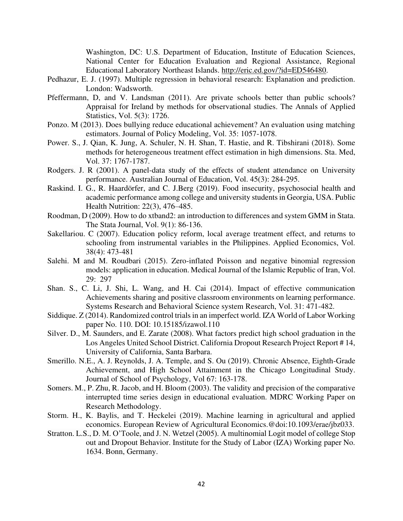Washington, DC: U.S. Department of Education, Institute of Education Sciences, National Center for Education Evaluation and Regional Assistance, Regional Educational Laboratory Northeast Islands. [http://eric.ed.gov/?id=ED546480.](http://eric.ed.gov/?id=ED546480)

- Pedhazur, E. J. (1997). Multiple regression in behavioral research: Explanation and prediction. London: Wadsworth.
- Pfeffermann, D, and V. Landsman (2011). Are private schools better than public schools? Appraisal for Ireland by methods for observational studies. The Annals of Applied Statistics, Vol. 5(3): 1726.
- Ponzo. M (2013). Does bullying reduce educational achievement? An evaluation using matching estimators. Journal of Policy Modeling, Vol. 35: 1057-1078.
- Power. S., J. Qian, K. Jung, A. Schuler, N. H. Shan, T. Hastie, and R. Tibshirani (2018). Some methods for heterogeneous treatment effect estimation in high dimensions. Sta. Med, Vol. 37: 1767-1787.
- Rodgers. J. R (2001). A panel-data study of the effects of student attendance on University performance. Australian Journal of Education, Vol. 45(3): 284-295.
- Raskind. I. G., R. Haardörfer, and C. J.Berg (2019). Food insecurity, psychosocial health and academic performance among college and university students in Georgia, USA. Public Health Nutrition: 22(3), 476–485.
- Roodman, D (2009). How to do xtband2: an introduction to differences and system GMM in Stata. The Stata Journal, Vol. 9(1): 86-136.
- Sakellariou. C (2007). Education policy reform, local average treatment effect, and returns to schooling from instrumental variables in the Philippines. Applied Economics, Vol. 38(4): 473-481
- Salehi. M and M. Roudbari (2015). Zero-inflated Poisson and negative binomial regression models: application in education. Medical Journal of the Islamic Republic of Iran, Vol. 29: 297
- Shan. S., C. Li, J. Shi, L. Wang, and H. Cai (2014). Impact of effective communication Achievements sharing and positive classroom environments on learning performance. Systems Research and Behavioral Science system Research, Vol. 31: 471-482.
- Siddique. Z (2014). Randomized control trials in an imperfect world. IZA World of Labor Working paper No. 110. DOI: 10.15185/izawol.110
- Silver. D., M. Saunders, and E. Zarate (2008). What factors predict high school graduation in the Los Angeles United School District. California Dropout Research Project Report # 14, University of California, Santa Barbara.
- Smerillo. N.E., A. J. Reynolds, J. A. Temple, and S. Ou (2019). Chronic Absence, Eighth-Grade Achievement, and High School Attainment in the Chicago Longitudinal Study. Journal of School of Psychology, Vol 67: 163-178.
- Somers. M., P. Zhu, R. Jacob, and H. Bloom (2003). The validity and precision of the comparative interrupted time series design in educational evaluation. MDRC Working Paper on Research Methodology.
- Storm. H., K. Baylis, and T. Heckelei (2019). Machine learning in agricultural and applied economics. European Review of Agricultural [Economics.@doi:10.1093/erae/jbz033.](mailto:Economics.@doi:10.1093/erae/jbz033)
- Stratton. L.S., D. M. O'Toole, and J. N. Wetzel (2005). A multinomial Logit model of college Stop out and Dropout Behavior. Institute for the Study of Labor (IZA) Working paper No. 1634. Bonn, Germany.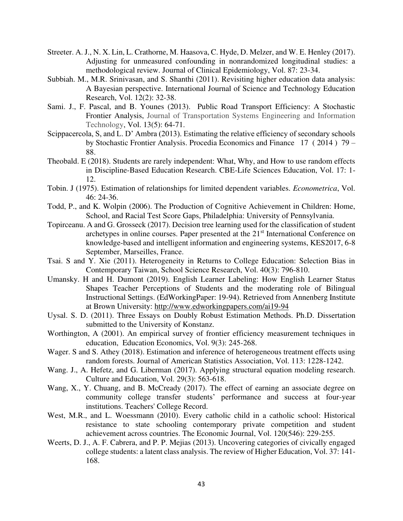- Streeter. A. J., N. X. Lin, L. Crathorne, M. Haasova, C. Hyde, D. Melzer, and W. E. Henley (2017). Adjusting for unmeasured confounding in nonrandomized longitudinal studies: a methodological review. Journal of Clinical Epidemiology, Vol. 87: 23-34.
- Subbiah. M., M.R. Srinivasan, and S. Shanthi (2011). Revisiting higher education data analysis: A Bayesian perspective. International Journal of Science and Technology Education Research, Vol. 12(2): 32-38.
- Sami. J., F. Pascal, and B. Younes (2013). Public Road Transport Efficiency: A Stochastic Frontier Analysis, [Journal of Transportation Systems Engineering and Information](https://www.sciencedirect.com/science/journal/15706672)  [Technology,](https://www.sciencedirect.com/science/journal/15706672) Vol. 13(5): 64-71.
- Scippacercola, S, and L. D' Ambra (2013). Estimating the relative efficiency of secondary schools by Stochastic Frontier Analysis. Procedia Economics and Finance 17 ( 2014 ) 79 – 88.
- Theobald. E (2018). Students are rarely independent: What, Why, and How to use random effects in Discipline-Based Education Research. CBE-Life Sciences Education, Vol. 17: 1- 12.
- Tobin. J (1975). Estimation of relationships for limited dependent variables. *Econometrica*, Vol. 46: 24-36.
- Todd, P., and K. Wolpin (2006). The Production of Cognitive Achievement in Children: Home, School, and Racial Test Score Gaps, Philadelphia: University of Pennsylvania.
- Topirceanu. A and G. Grosseck (2017). Decision tree learning used for the classification of student archetypes in online courses. Paper presented at the  $21<sup>st</sup>$  International Conference on knowledge-based and intelligent information and engineering systems, KES2017, 6-8 September, Marseilles, France.
- Tsai. S and Y. Xie (2011). Heterogeneity in Returns to College Education: Selection Bias in Contemporary Taiwan, School Science Research, Vol. 40(3): 796-810.
- Umansky. H and H. Dumont (2019). English Learner Labeling: How English Learner Status Shapes Teacher Perceptions of Students and the moderating role of Bilingual Instructional Settings. (EdWorkingPaper: 19-94). Retrieved from Annenberg Institute at Brown University:<http://www.edworkingpapers.com/ai19-94>
- Uysal. S. D. (2011). Three Essays on Doubly Robust Estimation Methods. Ph.D. Dissertation submitted to the University of Konstanz.
- Worthington, A (2001). An empirical survey of frontier efficiency measurement techniques in education, Education Economics, Vol. 9(3): 245-268.
- Wager. S and S. Athey (2018). Estimation and inference of heterogeneous treatment effects using random forests. Journal of American Statistics Association, Vol. 113: 1228-1242.
- Wang. J., A. Hefetz, and G. Liberman (2017). Applying structural equation modeling research. Culture and Education, Vol. 29(3): 563-618.
- Wang, X., Y. Chuang, and B. McCready (2017). The effect of earning an associate degree on community college transfer students' performance and success at four-year institutions. Teachers' College Record.
- West, M.R., and L. Woessmann (2010). Every catholic child in a catholic school: Historical resistance to state schooling contemporary private competition and student achievement across countries. The Economic Journal, Vol. 120(546): 229-255.
- Weerts, D. J., A. F. Cabrera, and P. P. Mejias (2013). Uncovering categories of civically engaged college students: a latent class analysis. The review of Higher Education, Vol. 37: 141- 168.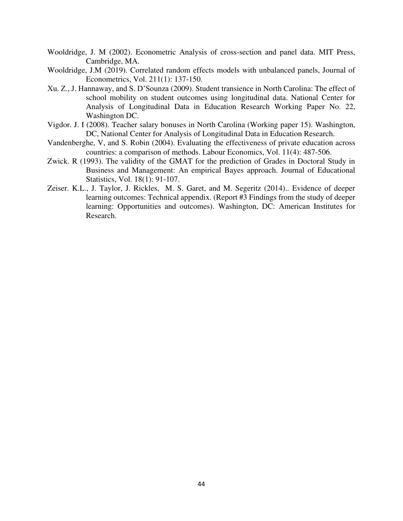- Wooldridge, J. M (2002). Econometric Analysis of cross-section and panel data. MIT Press, Cambridge, MA.
- Wooldridge, J.M (2019). Correlated random effects models with unbalanced panels, Journal of Econometrics, Vol. 211(1): 137-150.
- Xu. Z., J. Hannaway, and S. D'Sounza (2009). Student transience in North Carolina: The effect of school mobility on student outcomes using longitudinal data. National Center for Analysis of Longitudinal Data in Education Research Working Paper No. 22, Washington DC.
- Vigdor. J. I (2008). Teacher salary bonuses in North Carolina (Working paper 15). Washington, DC, National Center for Analysis of Longitudinal Data in Education Research.
- Vandenberghe, V, and S. Robin (2004). Evaluating the effectiveness of private education across countries: a comparison of methods. Labour Economics, Vol. 11(4): 487-506.
- Zwick. R (1993). The validity of the GMAT for the prediction of Grades in Doctoral Study in Business and Management: An empirical Bayes approach. Journal of Educational Statistics, Vol. 18(1): 91-107.
- Zeiser. K.L., J. Taylor, J. Rickles, M. S. Garet, and M. Segeritz (2014).. Evidence of deeper learning outcomes: Technical appendix. (Report #3 Findings from the study of deeper learning: Opportunities and outcomes). Washington, DC: American Institutes for Research.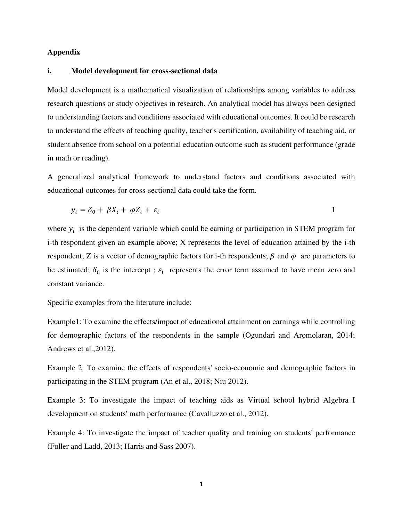## **Appendix**

#### **i. Model development for cross-sectional data**

Model development is a mathematical visualization of relationships among variables to address research questions or study objectives in research. An analytical model has always been designed to understanding factors and conditions associated with educational outcomes. It could be research to understand the effects of teaching quality, teacher's certification, availability of teaching aid, or student absence from school on a potential education outcome such as student performance (grade in math or reading).

A generalized analytical framework to understand factors and conditions associated with educational outcomes for cross-sectional data could take the form.

$$
y_i = \delta_0 + \beta X_i + \varphi Z_i + \varepsilon_i \tag{1}
$$

where  $y_i$  is the dependent variable which could be earning or participation in STEM program for i-th respondent given an example above; X represents the level of education attained by the i-th respondent; Z is a vector of demographic factors for i-th respondents;  $\beta$  and  $\varphi$  are parameters to be estimated;  $\delta_0$  is the intercept;  $\varepsilon_i$  represents the error term assumed to have mean zero and constant variance.

Specific examples from the literature include:

Example1: To examine the effects/impact of educational attainment on earnings while controlling for demographic factors of the respondents in the sample (Ogundari and Aromolaran, 2014; Andrews et al.,2012).

Example 2: To examine the effects of respondents' socio-economic and demographic factors in participating in the STEM program (An et al., 2018; Niu 2012).

Example 3: To investigate the impact of teaching aids as Virtual school hybrid Algebra I development on students' math performance (Cavalluzzo et al., 2012).

Example 4: To investigate the impact of teacher quality and training on students' performance (Fuller and Ladd, 2013; Harris and Sass 2007).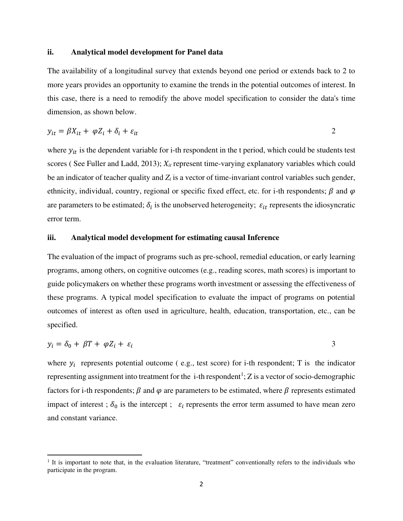#### **ii. Analytical model development for Panel data**

The availability of a longitudinal survey that extends beyond one period or extends back to 2 to more years provides an opportunity to examine the trends in the potential outcomes of interest. In this case, there is a need to remodify the above model specification to consider the data's time dimension, as shown below.

$$
y_{it} = \beta X_{it} + \varphi Z_i + \delta_i + \varepsilon_{it}
$$

where  $y_{it}$  is the dependent variable for i-th respondent in the t period, which could be students test scores ( See Fuller and Ladd, 2013); *Xit* represent time-varying explanatory variables which could be an indicator of teacher quality and *Zi* is a vector of time-invariant control variables such gender, ethnicity, individual, country, regional or specific fixed effect, etc. for i-th respondents;  $\beta$  and  $\varphi$ are parameters to be estimated;  $\delta_i$  is the unobserved heterogeneity;  $\varepsilon_{it}$  represents the idiosyncratic error term.

#### **iii. Analytical model development for estimating causal Inference**

The evaluation of the impact of programs such as pre-school, remedial education, or early learning programs, among others, on cognitive outcomes (e.g., reading scores, math scores) is important to guide policymakers on whether these programs worth investment or assessing the effectiveness of these programs. A typical model specification to evaluate the impact of programs on potential outcomes of interest as often used in agriculture, health, education, transportation, etc., can be specified.

$$
y_i = \delta_0 + \beta T + \varphi Z_i + \varepsilon_i
$$

where  $y_i$  represents potential outcome (e.g., test score) for i-th respondent; T is the indicator representing assignment into treatment for the i-th respondent<sup>1</sup>; Z is a vector of socio-demographic factors for i-th respondents;  $\beta$  and  $\varphi$  are parameters to be estimated, where  $\beta$  represents estimated impact of interest;  $\delta_0$  is the intercept;  $\varepsilon_i$  represents the error term assumed to have mean zero and constant variance.

<sup>&</sup>lt;sup>1</sup> It is important to note that, in the evaluation literature, "treatment" conventionally refers to the individuals who participate in the program.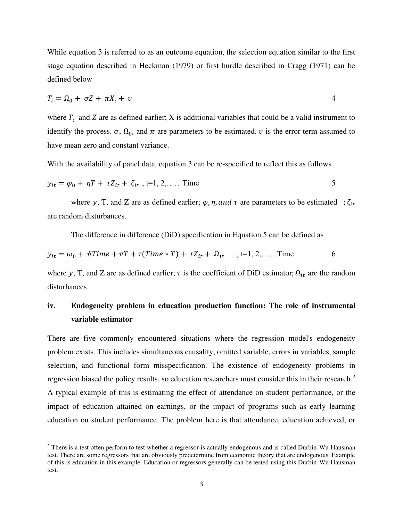While equation 3 is referred to as an outcome equation, the selection equation similar to the first stage equation described in Heckman (1979) or first hurdle described in Cragg (1971) can be defined below

$$
T_i = \Omega_0 + \sigma Z + \pi X_i + \nu \tag{4}
$$

where  $T_i$  and Z are as defined earlier; X is additional variables that could be a valid instrument to identify the process.  $\sigma$ ,  $\Omega_0$ , and  $\pi$  are parameters to be estimated.  $\nu$  is the error term assumed to have mean zero and constant variance.

With the availability of panel data, equation 3 can be re-specified to reflect this as follows

$$
y_{it} = \varphi_0 + \eta T + \tau Z_{it} + \zeta_{it}
$$
, t=1, 2,......Time 5

where y, T, and Z are as defined earlier;  $\varphi$ ,  $\eta$ , and  $\tau$  are parameters to be estimated ;  $\zeta_{it}$ are random disturbances.

The difference in difference (DiD) specification in Equation 5 can be defined as

$$
y_{it} = \omega_0 + \vartheta \text{Time} + \pi \text{T} + \tau (\text{Time} * \text{T}) + \tau Z_{it} + \Omega_{it} \quad , t=1, 2, \dots \text{Time}
$$

where y, T, and Z are as defined earlier;  $\tau$  is the coefficient of DiD estimator;  $\Omega_{it}$  are the random disturbances.

## **iv. Endogeneity problem in education production function: The role of instrumental variable estimator**

There are five commonly encountered situations where the regression model's endogeneity problem exists. This includes simultaneous causality, omitted variable, errors in variables, sample selection, and functional form misspecification. The existence of endogeneity problems in regression biased the policy results, so education researchers must consider this in their research.<sup>2</sup> A typical example of this is estimating the effect of attendance on student performance, or the impact of education attained on earnings, or the impact of programs such as early learning education on student performance. The problem here is that attendance, education achieved, or

 $2$  There is a test often perform to test whether a regressor is actually endogenous and is called Durbin-Wu Hausman test. There are some regressors that are obviously predetermine from economic theory that are endogenous. Example of this is education in this example. Education or regressors generally can be tested using this Durbin-Wu Hausman test.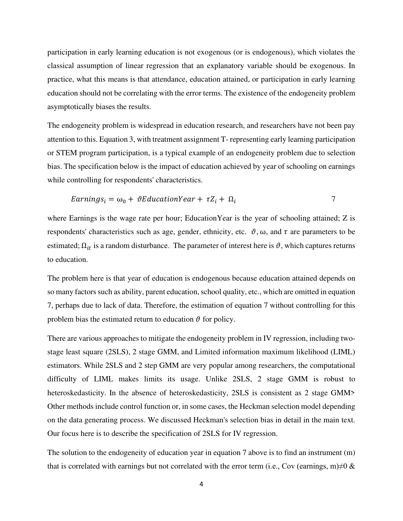participation in early learning education is not exogenous (or is endogenous), which violates the classical assumption of linear regression that an explanatory variable should be exogenous. In practice, what this means is that attendance, education attained, or participation in early learning education should not be correlating with the error terms. The existence of the endogeneity problem asymptotically biases the results.

The endogeneity problem is widespread in education research, and researchers have not been pay attention to this. Equation 3, with treatment assignment T- representing early learning participation or STEM program participation, is a typical example of an endogeneity problem due to selection bias. The specification below is the impact of education achieved by year of schooling on earnings while controlling for respondents' characteristics.

$$
EarningS_i = \omega_0 + \vartheta EducationYear + \tau Z_i + \Omega_i \tag{7}
$$

where Earnings is the wage rate per hour; Education Year is the year of schooling attained; Z is respondents' characteristics such as age, gender, ethnicity, etc.  $\vartheta$ ,  $\omega$ , and  $\tau$  are parameters to be estimated;  $\Omega_{it}$  is a random disturbance. The parameter of interest here is  $\vartheta$ , which captures returns to education.

The problem here is that year of education is endogenous because education attained depends on so many factors such as ability, parent education, school quality, etc., which are omitted in equation 7, perhaps due to lack of data. Therefore, the estimation of equation 7 without controlling for this problem bias the estimated return to education  $\vartheta$  for policy.

There are various approaches to mitigate the endogeneity problem in IV regression, including twostage least square (2SLS), 2 stage GMM, and Limited information maximum likelihood (LIML) estimators. While 2SLS and 2 step GMM are very popular among researchers, the computational difficulty of LIML makes limits its usage. Unlike 2SLS, 2 stage GMM is robust to heteroskedasticity. In the absence of heteroskedasticity, 2SLS is consistent as 2 stage GMM> Other methods include control function or, in some cases, the Heckman selection model depending on the data generating process. We discussed Heckman's selection bias in detail in the main text. Our focus here is to describe the specification of 2SLS for IV regression.

The solution to the endogeneity of education year in equation 7 above is to find an instrument (m) that is correlated with earnings but not correlated with the error term (i.e., Cov (earnings, m) $\neq$ 0 &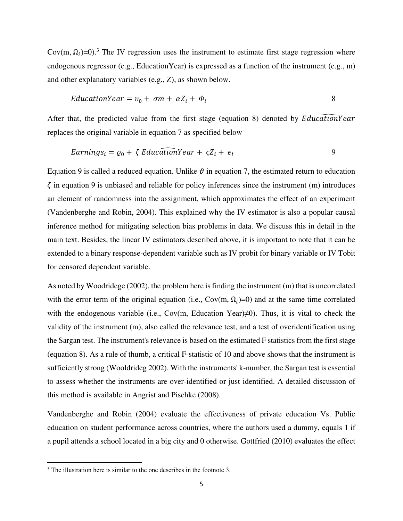Cov(m,  $\Omega_i$ )=0).<sup>3</sup> The IV regression uses the instrument to estimate first stage regression where endogenous regressor (e.g., EducationYear) is expressed as a function of the instrument (e.g., m) and other explanatory variables (e.g., Z), as shown below.

$$
EducationYear = v_0 + \sigma m + \alpha Z_i + \Phi_i
$$
 8

After that, the predicted value from the first stage (equation 8) denoted by  $Educa$  *tuonYear* replaces the original variable in equation 7 as specified below

$$
EarningS_i = \varrho_0 + \zeta \, EducationYear + \zeta Z_i + \epsilon_i \tag{9}
$$

Equation 9 is called a reduced equation. Unlike  $\vartheta$  in equation 7, the estimated return to education  $\zeta$  in equation 9 is unbiased and reliable for policy inferences since the instrument (m) introduces an element of randomness into the assignment, which approximates the effect of an experiment (Vandenberghe and Robin, 2004). This explained why the IV estimator is also a popular causal inference method for mitigating selection bias problems in data. We discuss this in detail in the main text. Besides, the linear IV estimators described above, it is important to note that it can be extended to a binary response-dependent variable such as IV probit for binary variable or IV Tobit for censored dependent variable.

As noted by Woodridege (2002), the problem here is finding the instrument (m) that is uncorrelated with the error term of the original equation (i.e.,  $Cov(m, \Omega_i)=0$ ) and at the same time correlated with the endogenous variable (i.e., Cov(m, Education Year)≠0). Thus, it is vital to check the validity of the instrument (m), also called the relevance test, and a test of overidentification using the Sargan test. The instrument's relevance is based on the estimated F statistics from the first stage (equation 8). As a rule of thumb, a critical F-statistic of 10 and above shows that the instrument is sufficiently strong (Wooldrideg 2002). With the instruments' k-number, the Sargan test is essential to assess whether the instruments are over-identified or just identified. A detailed discussion of this method is available in Angrist and Pischke (2008).

Vandenberghe and Robin (2004) evaluate the effectiveness of private education Vs. Public education on student performance across countries, where the authors used a dummy, equals 1 if a pupil attends a school located in a big city and 0 otherwise. Gottfried (2010) evaluates the effect

<sup>&</sup>lt;sup>3</sup> The illustration here is similar to the one describes in the footnote 3.